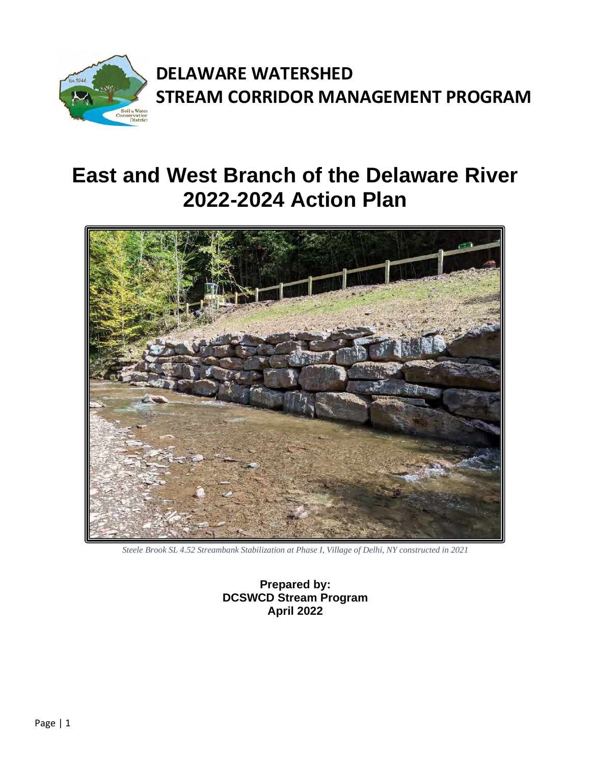

# **East and West Branch of the Delaware River 2022-2024 Action Plan**



*Steele Brook SL 4.52 Streambank Stabilization at Phase I, Village of Delhi, NY constructed in 2021*

**Prepared by: DCSWCD Stream Program April 2022**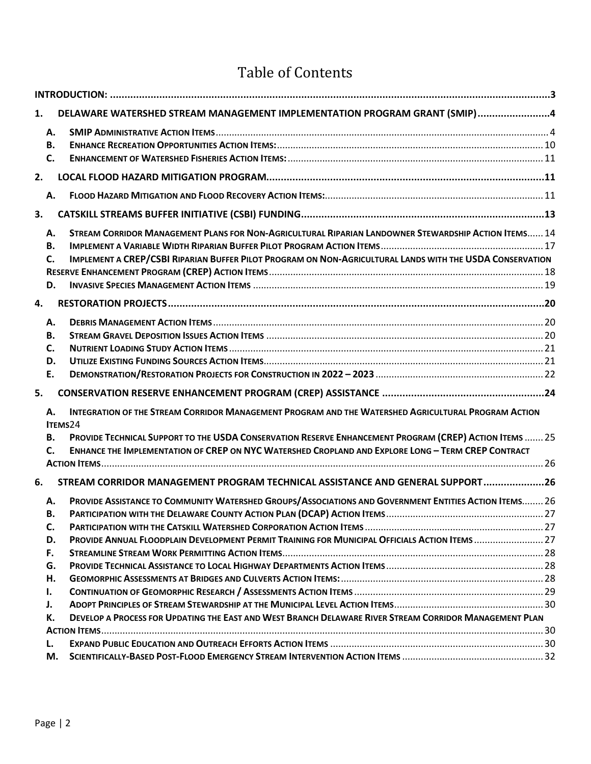## Table of Contents

| А.        |                                                                                                    |                                                                                                                                                                                                                                                                                                                                                                                                                                                                                                                                                                                                                                                                                                                                                                                                                                                                                                                                 |
|-----------|----------------------------------------------------------------------------------------------------|---------------------------------------------------------------------------------------------------------------------------------------------------------------------------------------------------------------------------------------------------------------------------------------------------------------------------------------------------------------------------------------------------------------------------------------------------------------------------------------------------------------------------------------------------------------------------------------------------------------------------------------------------------------------------------------------------------------------------------------------------------------------------------------------------------------------------------------------------------------------------------------------------------------------------------|
|           |                                                                                                    |                                                                                                                                                                                                                                                                                                                                                                                                                                                                                                                                                                                                                                                                                                                                                                                                                                                                                                                                 |
| C.        |                                                                                                    |                                                                                                                                                                                                                                                                                                                                                                                                                                                                                                                                                                                                                                                                                                                                                                                                                                                                                                                                 |
|           |                                                                                                    |                                                                                                                                                                                                                                                                                                                                                                                                                                                                                                                                                                                                                                                                                                                                                                                                                                                                                                                                 |
|           |                                                                                                    |                                                                                                                                                                                                                                                                                                                                                                                                                                                                                                                                                                                                                                                                                                                                                                                                                                                                                                                                 |
|           |                                                                                                    |                                                                                                                                                                                                                                                                                                                                                                                                                                                                                                                                                                                                                                                                                                                                                                                                                                                                                                                                 |
|           |                                                                                                    |                                                                                                                                                                                                                                                                                                                                                                                                                                                                                                                                                                                                                                                                                                                                                                                                                                                                                                                                 |
|           |                                                                                                    |                                                                                                                                                                                                                                                                                                                                                                                                                                                                                                                                                                                                                                                                                                                                                                                                                                                                                                                                 |
|           |                                                                                                    |                                                                                                                                                                                                                                                                                                                                                                                                                                                                                                                                                                                                                                                                                                                                                                                                                                                                                                                                 |
|           |                                                                                                    |                                                                                                                                                                                                                                                                                                                                                                                                                                                                                                                                                                                                                                                                                                                                                                                                                                                                                                                                 |
|           |                                                                                                    |                                                                                                                                                                                                                                                                                                                                                                                                                                                                                                                                                                                                                                                                                                                                                                                                                                                                                                                                 |
|           |                                                                                                    |                                                                                                                                                                                                                                                                                                                                                                                                                                                                                                                                                                                                                                                                                                                                                                                                                                                                                                                                 |
|           |                                                                                                    |                                                                                                                                                                                                                                                                                                                                                                                                                                                                                                                                                                                                                                                                                                                                                                                                                                                                                                                                 |
| А.        |                                                                                                    |                                                                                                                                                                                                                                                                                                                                                                                                                                                                                                                                                                                                                                                                                                                                                                                                                                                                                                                                 |
| <b>B.</b> |                                                                                                    |                                                                                                                                                                                                                                                                                                                                                                                                                                                                                                                                                                                                                                                                                                                                                                                                                                                                                                                                 |
| C.        |                                                                                                    |                                                                                                                                                                                                                                                                                                                                                                                                                                                                                                                                                                                                                                                                                                                                                                                                                                                                                                                                 |
| D.        |                                                                                                    |                                                                                                                                                                                                                                                                                                                                                                                                                                                                                                                                                                                                                                                                                                                                                                                                                                                                                                                                 |
| E.        |                                                                                                    |                                                                                                                                                                                                                                                                                                                                                                                                                                                                                                                                                                                                                                                                                                                                                                                                                                                                                                                                 |
|           |                                                                                                    |                                                                                                                                                                                                                                                                                                                                                                                                                                                                                                                                                                                                                                                                                                                                                                                                                                                                                                                                 |
| А.        |                                                                                                    |                                                                                                                                                                                                                                                                                                                                                                                                                                                                                                                                                                                                                                                                                                                                                                                                                                                                                                                                 |
|           |                                                                                                    |                                                                                                                                                                                                                                                                                                                                                                                                                                                                                                                                                                                                                                                                                                                                                                                                                                                                                                                                 |
| <b>B.</b> |                                                                                                    |                                                                                                                                                                                                                                                                                                                                                                                                                                                                                                                                                                                                                                                                                                                                                                                                                                                                                                                                 |
| C.        | ENHANCE THE IMPLEMENTATION OF CREP ON NYC WATERSHED CROPLAND AND EXPLORE LONG - TERM CREP CONTRACT |                                                                                                                                                                                                                                                                                                                                                                                                                                                                                                                                                                                                                                                                                                                                                                                                                                                                                                                                 |
|           |                                                                                                    |                                                                                                                                                                                                                                                                                                                                                                                                                                                                                                                                                                                                                                                                                                                                                                                                                                                                                                                                 |
|           |                                                                                                    |                                                                                                                                                                                                                                                                                                                                                                                                                                                                                                                                                                                                                                                                                                                                                                                                                                                                                                                                 |
| А.        |                                                                                                    |                                                                                                                                                                                                                                                                                                                                                                                                                                                                                                                                                                                                                                                                                                                                                                                                                                                                                                                                 |
| В.        |                                                                                                    |                                                                                                                                                                                                                                                                                                                                                                                                                                                                                                                                                                                                                                                                                                                                                                                                                                                                                                                                 |
| C.        |                                                                                                    |                                                                                                                                                                                                                                                                                                                                                                                                                                                                                                                                                                                                                                                                                                                                                                                                                                                                                                                                 |
| D.        |                                                                                                    |                                                                                                                                                                                                                                                                                                                                                                                                                                                                                                                                                                                                                                                                                                                                                                                                                                                                                                                                 |
| F.        |                                                                                                    |                                                                                                                                                                                                                                                                                                                                                                                                                                                                                                                                                                                                                                                                                                                                                                                                                                                                                                                                 |
| G.        |                                                                                                    |                                                                                                                                                                                                                                                                                                                                                                                                                                                                                                                                                                                                                                                                                                                                                                                                                                                                                                                                 |
| Η.        |                                                                                                    |                                                                                                                                                                                                                                                                                                                                                                                                                                                                                                                                                                                                                                                                                                                                                                                                                                                                                                                                 |
| ı.        |                                                                                                    |                                                                                                                                                                                                                                                                                                                                                                                                                                                                                                                                                                                                                                                                                                                                                                                                                                                                                                                                 |
| J.        |                                                                                                    |                                                                                                                                                                                                                                                                                                                                                                                                                                                                                                                                                                                                                                                                                                                                                                                                                                                                                                                                 |
| К.        |                                                                                                    |                                                                                                                                                                                                                                                                                                                                                                                                                                                                                                                                                                                                                                                                                                                                                                                                                                                                                                                                 |
|           |                                                                                                    |                                                                                                                                                                                                                                                                                                                                                                                                                                                                                                                                                                                                                                                                                                                                                                                                                                                                                                                                 |
| L.        |                                                                                                    |                                                                                                                                                                                                                                                                                                                                                                                                                                                                                                                                                                                                                                                                                                                                                                                                                                                                                                                                 |
| М.        |                                                                                                    |                                                                                                                                                                                                                                                                                                                                                                                                                                                                                                                                                                                                                                                                                                                                                                                                                                                                                                                                 |
|           | <b>B.</b><br>Α.<br>А.<br>В.<br>C.<br>D.                                                            | DELAWARE WATERSHED STREAM MANAGEMENT IMPLEMENTATION PROGRAM GRANT (SMIP)4<br>STREAM CORRIDOR MANAGEMENT PLANS FOR NON-AGRICULTURAL RIPARIAN LANDOWNER STEWARDSHIP ACTION ITEMS 14<br>IMPLEMENT A CREP/CSBI RIPARIAN BUFFER PILOT PROGRAM ON NON-AGRICULTURAL LANDS WITH THE USDA CONSERVATION<br>INTEGRATION OF THE STREAM CORRIDOR MANAGEMENT PROGRAM AND THE WATERSHED AGRICULTURAL PROGRAM ACTION<br>ITEMS24<br>PROVIDE TECHNICAL SUPPORT TO THE USDA CONSERVATION RESERVE ENHANCEMENT PROGRAM (CREP) ACTION ITEMS  25<br>STREAM CORRIDOR MANAGEMENT PROGRAM TECHNICAL ASSISTANCE AND GENERAL SUPPORT26<br>PROVIDE ASSISTANCE TO COMMUNITY WATERSHED GROUPS/ASSOCIATIONS AND GOVERNMENT ENTITIES ACTION ITEMS 26<br>PROVIDE ANNUAL FLOODPLAIN DEVELOPMENT PERMIT TRAINING FOR MUNICIPAL OFFICIALS ACTION ITEMS  27<br>DEVELOP A PROCESS FOR UPDATING THE EAST AND WEST BRANCH DELAWARE RIVER STREAM CORRIDOR MANAGEMENT PLAN |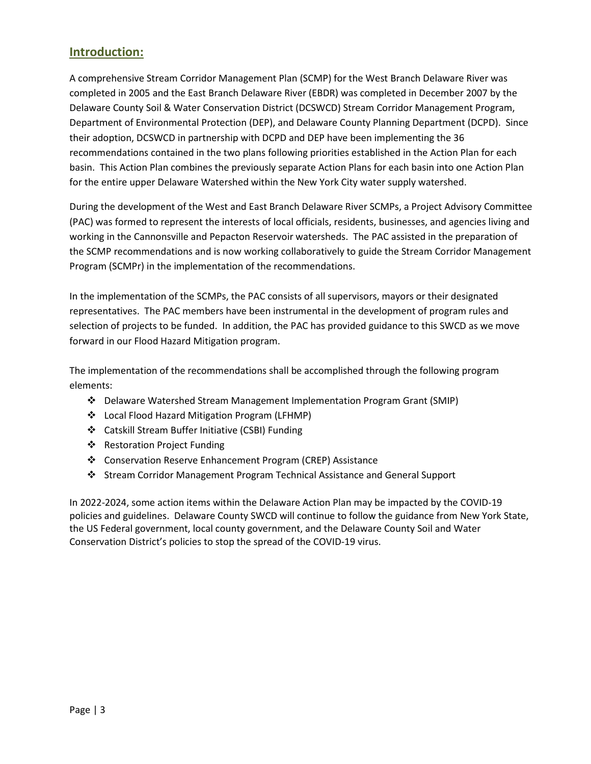## <span id="page-2-0"></span>**Introduction:**

A comprehensive Stream Corridor Management Plan (SCMP) for the West Branch Delaware River was completed in 2005 and the East Branch Delaware River (EBDR) was completed in December 2007 by the Delaware County Soil & Water Conservation District (DCSWCD) Stream Corridor Management Program, Department of Environmental Protection (DEP), and Delaware County Planning Department (DCPD). Since their adoption, DCSWCD in partnership with DCPD and DEP have been implementing the 36 recommendations contained in the two plans following priorities established in the Action Plan for each basin. This Action Plan combines the previously separate Action Plans for each basin into one Action Plan for the entire upper Delaware Watershed within the New York City water supply watershed.

During the development of the West and East Branch Delaware River SCMPs, a Project Advisory Committee (PAC) was formed to represent the interests of local officials, residents, businesses, and agencies living and working in the Cannonsville and Pepacton Reservoir watersheds. The PAC assisted in the preparation of the SCMP recommendations and is now working collaboratively to guide the Stream Corridor Management Program (SCMPr) in the implementation of the recommendations.

In the implementation of the SCMPs, the PAC consists of all supervisors, mayors or their designated representatives. The PAC members have been instrumental in the development of program rules and selection of projects to be funded. In addition, the PAC has provided guidance to this SWCD as we move forward in our Flood Hazard Mitigation program.

The implementation of the recommendations shall be accomplished through the following program elements:

- Delaware Watershed Stream Management Implementation Program Grant (SMIP)
- Local Flood Hazard Mitigation Program (LFHMP)
- Catskill Stream Buffer Initiative (CSBI) Funding
- Restoration Project Funding
- Conservation Reserve Enhancement Program (CREP) Assistance
- Stream Corridor Management Program Technical Assistance and General Support

In 2022-2024, some action items within the Delaware Action Plan may be impacted by the COVID-19 policies and guidelines. Delaware County SWCD will continue to follow the guidance from New York State, the US Federal government, local county government, and the Delaware County Soil and Water Conservation District's policies to stop the spread of the COVID-19 virus.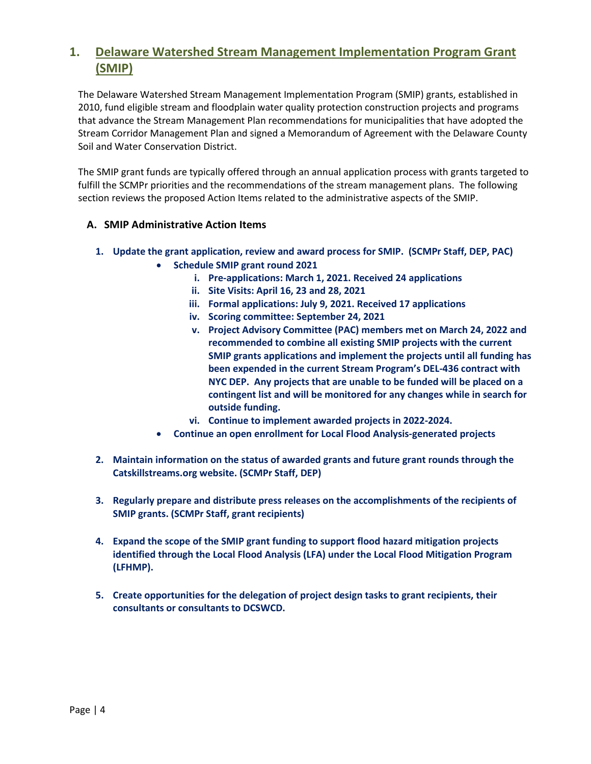## <span id="page-3-0"></span>**1. Delaware Watershed Stream Management Implementation Program Grant (SMIP)**

The Delaware Watershed Stream Management Implementation Program (SMIP) grants, established in 2010, fund eligible stream and floodplain water quality protection construction projects and programs that advance the Stream Management Plan recommendations for municipalities that have adopted the Stream Corridor Management Plan and signed a Memorandum of Agreement with the Delaware County Soil and Water Conservation District.

The SMIP grant funds are typically offered through an annual application process with grants targeted to fulfill the SCMPr priorities and the recommendations of the stream management plans. The following section reviews the proposed Action Items related to the administrative aspects of the SMIP.

#### <span id="page-3-1"></span>**A. SMIP Administrative Action Items**

- **1. Update the grant application, review and award process for SMIP. (SCMPr Staff, DEP, PAC)**
	- **Schedule SMIP grant round 2021**
		- **i. Pre-applications: March 1, 2021. Received 24 applications**
		- **ii. Site Visits: April 16, 23 and 28, 2021**
		- **iii. Formal applications: July 9, 2021. Received 17 applications**
		- **iv. Scoring committee: September 24, 2021**
		- **v. Project Advisory Committee (PAC) members met on March 24, 2022 and recommended to combine all existing SMIP projects with the current SMIP grants applications and implement the projects until all funding has been expended in the current Stream Program's DEL-436 contract with NYC DEP. Any projects that are unable to be funded will be placed on a contingent list and will be monitored for any changes while in search for outside funding.**
		- **vi. Continue to implement awarded projects in 2022-2024.**
	- **Continue an open enrollment for Local Flood Analysis-generated projects**
- **2. Maintain information on the status of awarded grants and future grant rounds through the Catskillstreams.org website. (SCMPr Staff, DEP)**
- **3. Regularly prepare and distribute press releases on the accomplishments of the recipients of SMIP grants. (SCMPr Staff, grant recipients)**
- **4. Expand the scope of the SMIP grant funding to support flood hazard mitigation projects identified through the Local Flood Analysis (LFA) under the Local Flood Mitigation Program (LFHMP).**
- **5. Create opportunities for the delegation of project design tasks to grant recipients, their consultants or consultants to DCSWCD.**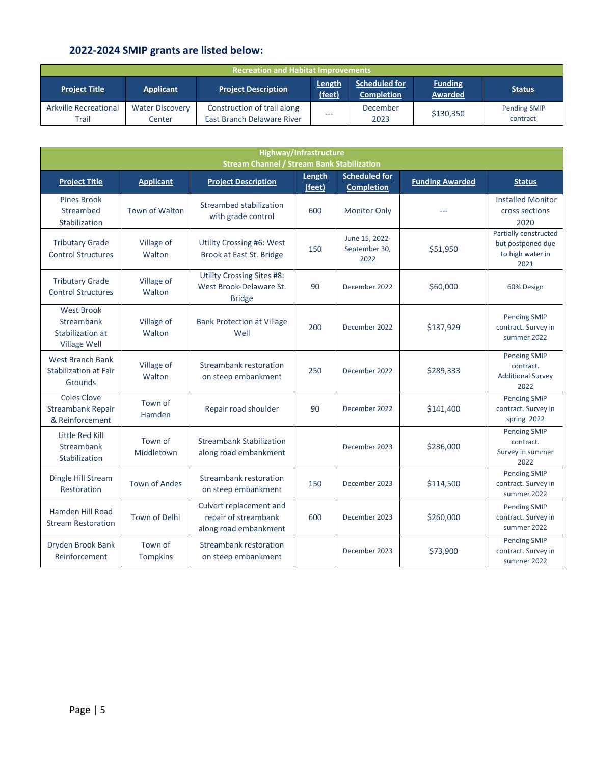## **2022-2024 SMIP grants are listed below:**

| <b>Recreation and Habitat Improvements</b> |                                  |                                                           |                  |                                           |                                  |                                 |  |  |
|--------------------------------------------|----------------------------------|-----------------------------------------------------------|------------------|-------------------------------------------|----------------------------------|---------------------------------|--|--|
| <b>Project Title</b>                       | <b>Applicant</b>                 | <b>Project Description</b>                                | Length<br>(feet) | <b>Scheduled for</b><br><b>Completion</b> | <b>Funding</b><br><b>Awarded</b> | <b>Status</b>                   |  |  |
| Arkville Recreational<br>Trail             | <b>Water Discovery</b><br>Center | Construction of trail along<br>East Branch Delaware River | ---              | December<br>2023                          | \$130,350                        | <b>Pending SMIP</b><br>contract |  |  |

|                                                                     | Highway/Infrastructure<br><b>Stream Channel / Stream Bank Stabilization</b> |                                                                               |        |                                         |                        |                                                                        |  |  |  |  |
|---------------------------------------------------------------------|-----------------------------------------------------------------------------|-------------------------------------------------------------------------------|--------|-----------------------------------------|------------------------|------------------------------------------------------------------------|--|--|--|--|
| <b>Project Title</b>                                                | <b>Applicant</b>                                                            | <b>Project Description</b>                                                    | Length | <b>Scheduled for</b>                    | <b>Funding Awarded</b> | <b>Status</b>                                                          |  |  |  |  |
|                                                                     |                                                                             |                                                                               | (feet) | <b>Completion</b>                       |                        |                                                                        |  |  |  |  |
| <b>Pines Brook</b><br>Streambed<br>Stabilization                    | <b>Town of Walton</b>                                                       | Streambed stabilization<br>with grade control                                 | 600    | <b>Monitor Only</b>                     |                        | <b>Installed Monitor</b><br>cross sections<br>2020                     |  |  |  |  |
| <b>Tributary Grade</b><br><b>Control Structures</b>                 | Village of<br>Walton                                                        | <b>Utility Crossing #6: West</b><br>Brook at East St. Bridge                  | 150    | June 15, 2022-<br>September 30,<br>2022 | \$51,950               | Partially constructed<br>but postponed due<br>to high water in<br>2021 |  |  |  |  |
| <b>Tributary Grade</b><br><b>Control Structures</b>                 | Village of<br>Walton                                                        | <b>Utility Crossing Sites #8:</b><br>West Brook-Delaware St.<br><b>Bridge</b> | 90     | December 2022                           | \$60,000               | 60% Design                                                             |  |  |  |  |
| <b>West Brook</b><br>Streambank<br>Stabilization at<br>Village Well | Village of<br>Walton                                                        | <b>Bank Protection at Village</b><br>Well                                     | 200    | December 2022                           | \$137,929              | <b>Pending SMIP</b><br>contract. Survey in<br>summer 2022              |  |  |  |  |
| <b>West Branch Bank</b><br><b>Stabilization at Fair</b><br>Grounds  | Village of<br>Walton                                                        | Streambank restoration<br>on steep embankment                                 | 250    | December 2022                           | \$289,333              | <b>Pending SMIP</b><br>contract.<br><b>Additional Survey</b><br>2022   |  |  |  |  |
| <b>Coles Clove</b><br><b>Streambank Repair</b><br>& Reinforcement   | Town of<br>Hamden                                                           | Repair road shoulder                                                          | 90     | December 2022                           | \$141,400              | <b>Pending SMIP</b><br>contract. Survey in<br>spring 2022              |  |  |  |  |
| Little Red Kill<br>Streambank<br>Stabilization                      | Town of<br>Middletown                                                       | <b>Streambank Stabilization</b><br>along road embankment                      |        | December 2023                           | \$236,000              | <b>Pending SMIP</b><br>contract.<br>Survey in summer<br>2022           |  |  |  |  |
| Dingle Hill Stream<br>Restoration                                   | <b>Town of Andes</b>                                                        | Streambank restoration<br>on steep embankment                                 | 150    | December 2023                           | \$114,500              | <b>Pending SMIP</b><br>contract. Survey in<br>summer 2022              |  |  |  |  |
| Hamden Hill Road<br><b>Stream Restoration</b>                       | <b>Town of Delhi</b>                                                        | Culvert replacement and<br>repair of streambank<br>along road embankment      | 600    | December 2023                           | \$260,000              | <b>Pending SMIP</b><br>contract. Survey in<br>summer 2022              |  |  |  |  |
| Dryden Brook Bank<br>Reinforcement                                  | Town of<br><b>Tompkins</b>                                                  | Streambank restoration<br>on steep embankment                                 |        | December 2023                           | \$73,900               | <b>Pending SMIP</b><br>contract. Survey in<br>summer 2022              |  |  |  |  |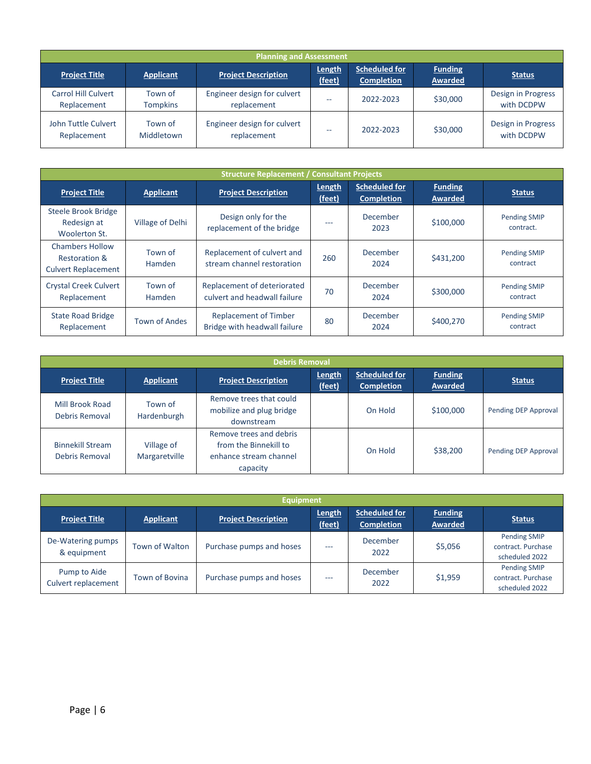|                                           | <b>Planning and Assessment</b> |                                            |                  |                                           |                                  |                                  |  |  |  |
|-------------------------------------------|--------------------------------|--------------------------------------------|------------------|-------------------------------------------|----------------------------------|----------------------------------|--|--|--|
| <b>Project Title</b>                      | <b>Applicant</b>               | <b>Project Description</b>                 | Length<br>(feet) | <b>Scheduled for</b><br><b>Completion</b> | <b>Funding</b><br><b>Awarded</b> | <b>Status</b>                    |  |  |  |
| <b>Carrol Hill Culvert</b><br>Replacement | Town of<br><b>Tompkins</b>     | Engineer design for culvert<br>replacement | --               | 2022-2023                                 | \$30,000                         | Design in Progress<br>with DCDPW |  |  |  |
| John Tuttle Culvert<br>Replacement        | Town of<br>Middletown          | Engineer design for culvert<br>replacement | --               | 2022-2023                                 | \$30,000                         | Design in Progress<br>with DCDPW |  |  |  |

|                                                                                                                                 | <b>Structure Replacement / Consultant Projects</b> |                                                             |                  |                                           |                                 |                                  |  |  |  |  |
|---------------------------------------------------------------------------------------------------------------------------------|----------------------------------------------------|-------------------------------------------------------------|------------------|-------------------------------------------|---------------------------------|----------------------------------|--|--|--|--|
| <b>Project Title</b>                                                                                                            | Applicant                                          | <b>Project Description</b>                                  | Length<br>(feet) | <b>Scheduled for</b><br><b>Completion</b> | <b>Funding</b><br>Awarded       | <b>Status</b>                    |  |  |  |  |
| Steele Brook Bridge<br>Redesign at<br>Woolerton St.                                                                             | Village of Delhi                                   | Design only for the<br>replacement of the bridge            | ---              | December<br>2023                          | \$100,000                       | <b>Pending SMIP</b><br>contract. |  |  |  |  |
| <b>Chambers Hollow</b><br><b>Restoration &amp;</b><br><b>Culvert Replacement</b>                                                | Town of<br><b>Hamden</b>                           | Replacement of culvert and<br>stream channel restoration    | 260              | December<br>2024                          | \$431,200                       | <b>Pending SMIP</b><br>contract  |  |  |  |  |
| <b>Crystal Creek Culvert</b><br>Replacement                                                                                     | Town of<br><b>Hamden</b>                           | Replacement of deteriorated<br>culvert and headwall failure | 70               | December<br>2024                          | \$300,000                       | <b>Pending SMIP</b><br>contract  |  |  |  |  |
| <b>State Road Bridge</b><br><b>Replacement of Timber</b><br><b>Town of Andes</b><br>Bridge with headwall failure<br>Replacement |                                                    | 80                                                          | December<br>2024 | \$400,270                                 | <b>Pending SMIP</b><br>contract |                                  |  |  |  |  |

| <b>Debris Removal</b>                     |                             |                                                                                        |                  |                                    |                           |                      |  |  |
|-------------------------------------------|-----------------------------|----------------------------------------------------------------------------------------|------------------|------------------------------------|---------------------------|----------------------|--|--|
| <b>Project Title</b>                      | <b>Applicant</b>            | <b>Project Description</b>                                                             | Length<br>(feet) | Scheduled for<br><b>Completion</b> | <b>Funding</b><br>Awarded | <b>Status</b>        |  |  |
| Mill Brook Road<br>Debris Removal         | Town of<br>Hardenburgh      | Remove trees that could<br>mobilize and plug bridge<br>downstream                      |                  | On Hold                            | \$100,000                 | Pending DEP Approval |  |  |
| <b>Binnekill Stream</b><br>Debris Removal | Village of<br>Margaretville | Remove trees and debris<br>from the Binnekill to<br>enhance stream channel<br>capacity |                  | On Hold                            | \$38,200                  | Pending DEP Approval |  |  |

|                                     | <b>Equipment</b> |                            |                  |                                           |                           |                                                             |  |  |  |
|-------------------------------------|------------------|----------------------------|------------------|-------------------------------------------|---------------------------|-------------------------------------------------------------|--|--|--|
| <b>Project Title</b>                | <b>Applicant</b> | <b>Project Description</b> | Length<br>(feet) | <b>Scheduled for</b><br><b>Completion</b> | <b>Funding</b><br>Awarded | <b>Status</b>                                               |  |  |  |
| De-Watering pumps<br>& equipment    | Town of Walton   | Purchase pumps and hoses   | ---              | December<br>2022                          | \$5,056                   | <b>Pending SMIP</b><br>contract. Purchase<br>scheduled 2022 |  |  |  |
| Pump to Aide<br>Culvert replacement | Town of Bovina   | Purchase pumps and hoses   | ---              | December<br>2022                          | \$1,959                   | <b>Pending SMIP</b><br>contract. Purchase<br>scheduled 2022 |  |  |  |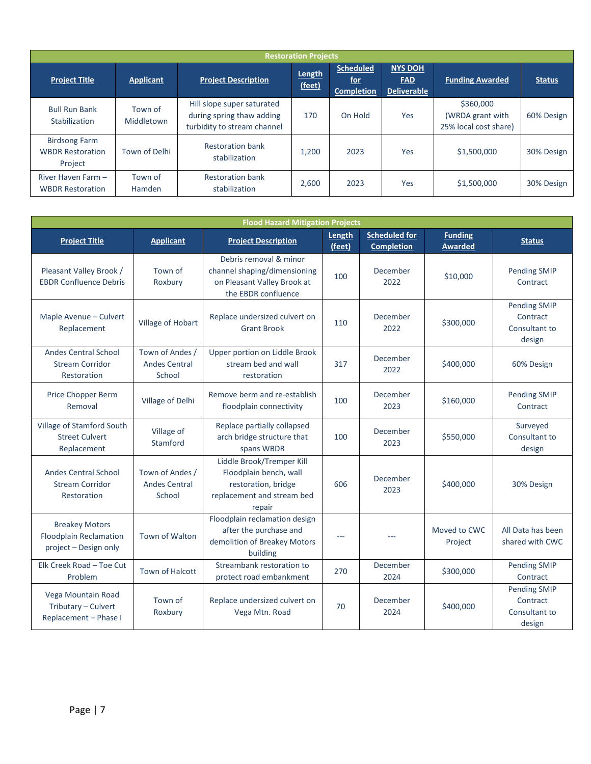|                                                            | <b>Restoration Projects</b> |                                                                                        |       |                                                     |                                                    |                                                        |               |  |  |  |  |
|------------------------------------------------------------|-----------------------------|----------------------------------------------------------------------------------------|-------|-----------------------------------------------------|----------------------------------------------------|--------------------------------------------------------|---------------|--|--|--|--|
| <b>Project Title</b>                                       | <b>Applicant</b>            | <b>Project Description</b>                                                             |       | <b>Scheduled</b><br><u>for</u><br><b>Completion</b> | <b>NYS DOH</b><br><b>FAD</b><br><b>Deliverable</b> | <b>Funding Awarded</b>                                 | <b>Status</b> |  |  |  |  |
| <b>Bull Run Bank</b><br>Stabilization                      | Town of<br>Middletown       | Hill slope super saturated<br>during spring thaw adding<br>turbidity to stream channel | 170   | On Hold                                             | Yes                                                | \$360,000<br>(WRDA grant with<br>25% local cost share) | 60% Design    |  |  |  |  |
| <b>Birdsong Farm</b><br><b>WBDR Restoration</b><br>Project | Town of Delhi               | <b>Restoration bank</b><br>stabilization                                               | 1,200 | 2023                                                | Yes                                                | \$1,500,000                                            | 30% Design    |  |  |  |  |
| River Haven Farm -<br><b>WBDR Restoration</b>              | Town of<br>Hamden           | <b>Restoration bank</b><br>stabilization                                               | 2,600 | 2023                                                | Yes                                                | \$1,500,000                                            | 30% Design    |  |  |  |  |

|                                                                                 |                                                   | <b>Flood Hazard Mitigation Projects</b>                                                                            |                  |                                           |                                  |                                                            |
|---------------------------------------------------------------------------------|---------------------------------------------------|--------------------------------------------------------------------------------------------------------------------|------------------|-------------------------------------------|----------------------------------|------------------------------------------------------------|
| <b>Project Title</b>                                                            | <b>Applicant</b>                                  | <b>Project Description</b>                                                                                         | Length<br>(feet) | <b>Scheduled for</b><br><b>Completion</b> | <b>Funding</b><br><b>Awarded</b> | <b>Status</b>                                              |
| Pleasant Valley Brook /<br><b>EBDR Confluence Debris</b>                        | Town of<br>Roxbury                                | Debris removal & minor<br>channel shaping/dimensioning<br>on Pleasant Valley Brook at<br>the EBDR confluence       | 100              | December<br>2022                          | \$10,000                         | <b>Pending SMIP</b><br>Contract                            |
| Maple Avenue - Culvert<br>Replacement                                           | Village of Hobart                                 | Replace undersized culvert on<br><b>Grant Brook</b>                                                                | 110              | December<br>2022                          | \$300,000                        | <b>Pending SMIP</b><br>Contract<br>Consultant to<br>design |
| <b>Andes Central School</b><br><b>Stream Corridor</b><br>Restoration            | Town of Andes /<br><b>Andes Central</b><br>School | Upper portion on Liddle Brook<br>stream bed and wall<br>restoration                                                | 317              | December<br>2022                          | \$400,000                        | 60% Design                                                 |
| Price Chopper Berm<br>Removal                                                   | Village of Delhi                                  | Remove berm and re-establish<br>floodplain connectivity                                                            | 100              | December<br>2023                          | \$160,000                        | <b>Pending SMIP</b><br>Contract                            |
| Village of Stamford South<br><b>Street Culvert</b><br>Replacement               | Village of<br>Stamford                            | Replace partially collapsed<br>arch bridge structure that<br>spans WBDR                                            | 100              | December<br>2023                          | \$550,000                        | Surveyed<br>Consultant to<br>design                        |
| <b>Andes Central School</b><br><b>Stream Corridor</b><br>Restoration            | Town of Andes /<br><b>Andes Central</b><br>School | Liddle Brook/Tremper Kill<br>Floodplain bench, wall<br>restoration, bridge<br>replacement and stream bed<br>repair | 606              | December<br>2023                          | \$400,000                        | 30% Design                                                 |
| <b>Breakey Motors</b><br><b>Floodplain Reclamation</b><br>project - Design only | <b>Town of Walton</b>                             | Floodplain reclamation design<br>after the purchase and<br>demolition of Breakey Motors<br>building                |                  |                                           | Moved to CWC<br>Project          | All Data has been<br>shared with CWC                       |
| Elk Creek Road - Toe Cut<br>Problem                                             | <b>Town of Halcott</b>                            | Streambank restoration to<br>protect road embankment                                                               | 270              | December<br>2024                          | \$300,000                        | <b>Pending SMIP</b><br>Contract                            |
| Vega Mountain Road<br>Tributary - Culvert<br>Replacement - Phase I              | Town of<br>Roxbury                                | Replace undersized culvert on<br>Vega Mtn. Road                                                                    | 70               | December<br>2024                          | \$400,000                        | <b>Pending SMIP</b><br>Contract<br>Consultant to<br>design |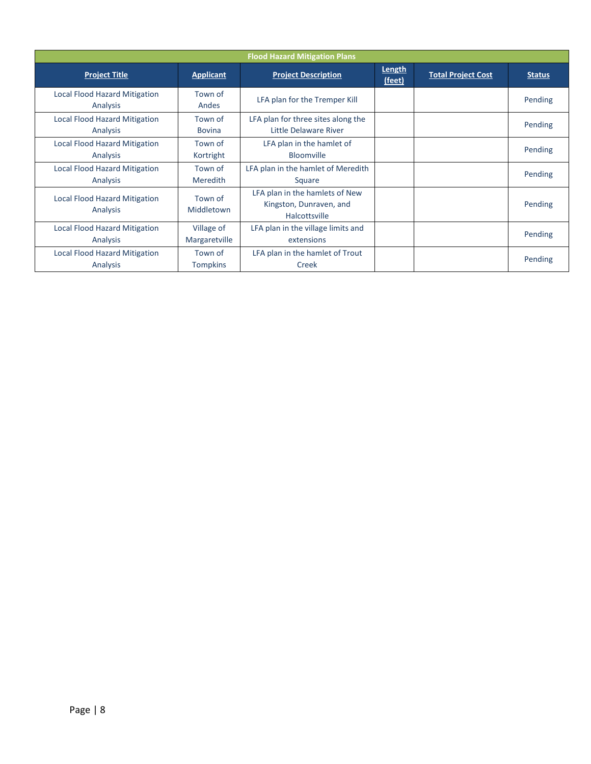| <b>Flood Hazard Mitigation Plans</b>             |                             |                                                                            |                  |                           |               |  |  |
|--------------------------------------------------|-----------------------------|----------------------------------------------------------------------------|------------------|---------------------------|---------------|--|--|
| <b>Project Title</b>                             | <b>Applicant</b>            | <b>Project Description</b>                                                 | Length<br>(feet) | <b>Total Project Cost</b> | <b>Status</b> |  |  |
| <b>Local Flood Hazard Mitigation</b><br>Analysis | Town of<br>Andes            | LFA plan for the Tremper Kill                                              |                  |                           | Pending       |  |  |
| <b>Local Flood Hazard Mitigation</b><br>Analysis | Town of<br><b>Bovina</b>    | LFA plan for three sites along the<br>Little Delaware River                |                  |                           | Pending       |  |  |
| <b>Local Flood Hazard Mitigation</b><br>Analysis | Town of<br>Kortright        | LFA plan in the hamlet of<br>Bloomville                                    |                  |                           | Pending       |  |  |
| <b>Local Flood Hazard Mitigation</b><br>Analysis | Town of<br><b>Meredith</b>  | LFA plan in the hamlet of Meredith<br>Square                               |                  |                           | Pending       |  |  |
| <b>Local Flood Hazard Mitigation</b><br>Analysis | Town of<br>Middletown       | LFA plan in the hamlets of New<br>Kingston, Dunraven, and<br>Halcottsville |                  |                           | Pending       |  |  |
| <b>Local Flood Hazard Mitigation</b><br>Analysis | Village of<br>Margaretville | LFA plan in the village limits and<br>extensions                           |                  |                           | Pending       |  |  |
| <b>Local Flood Hazard Mitigation</b><br>Analysis | Town of<br><b>Tompkins</b>  | LFA plan in the hamlet of Trout<br>Creek                                   |                  |                           | Pending       |  |  |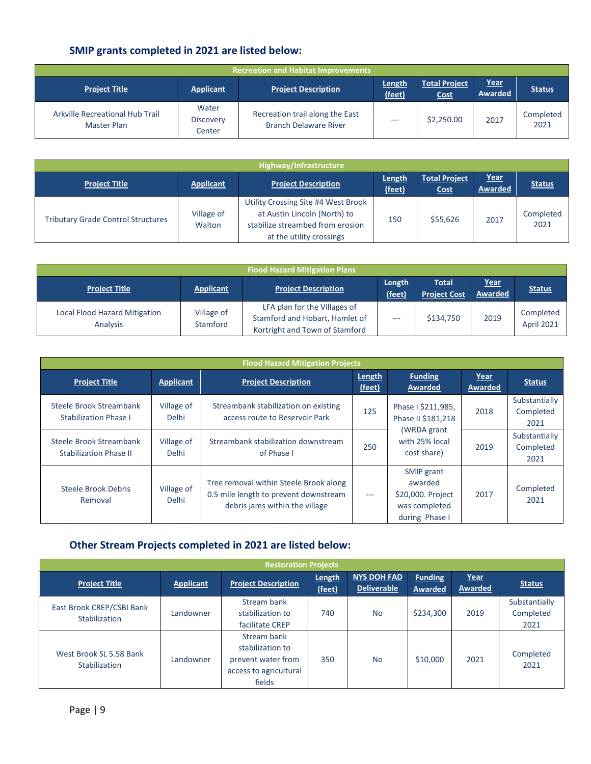## **SMIP grants completed in 2021 are listed below:**

| Recreation and Habitat Improvements            |                                     |                                                                 |                  |                                     |                        |                   |  |  |
|------------------------------------------------|-------------------------------------|-----------------------------------------------------------------|------------------|-------------------------------------|------------------------|-------------------|--|--|
| <b>Project Title</b>                           | <b>Applicant</b>                    | <b>Project Description</b>                                      | Length<br>(feet) | <b>Total Project</b><br><b>Cost</b> | <u>Year</u><br>Awarded | <b>Status</b>     |  |  |
| Arkville Recreational Hub Trail<br>Master Plan | Water<br><b>Discovery</b><br>Center | Recreation trail along the East<br><b>Branch Delaware River</b> | ---              | \$2,250.00                          | 2017                   | Completed<br>2021 |  |  |

|                                           |                      | Highway/Infrastructure                                                                                                              |                  |                                     |                        |                   |
|-------------------------------------------|----------------------|-------------------------------------------------------------------------------------------------------------------------------------|------------------|-------------------------------------|------------------------|-------------------|
| <b>Project Title</b>                      | <b>Applicant</b>     | <b>Project Description</b>                                                                                                          | Length<br>(feet) | <b>Total Project</b><br><b>Cost</b> | Year<br><b>Awarded</b> | <b>Status</b>     |
| <b>Tributary Grade Control Structures</b> | Village of<br>Walton | Utility Crossing Site #4 West Brook<br>at Austin Lincoln (North) to<br>stabilize streambed from erosion<br>at the utility crossings | 150              | \$55,626                            | 2017                   | Completed<br>2021 |

| <b>Flood Hazard Mitigation Plans</b>             |                        |                                                                                                  |                  |                                     |                        |                         |
|--------------------------------------------------|------------------------|--------------------------------------------------------------------------------------------------|------------------|-------------------------------------|------------------------|-------------------------|
| <b>Project Title</b>                             | <b>Applicant</b>       | <b>Project Description</b>                                                                       | Length<br>(feet) | <b>Total</b><br><b>Project Cost</b> | <u>Year</u><br>Awarded | <b>Status</b>           |
| <b>Local Flood Hazard Mitigation</b><br>Analysis | Village of<br>Stamford | LFA plan for the Villages of<br>Stamford and Hobart, Hamlet of<br>Kortright and Town of Stamford | ---              | \$134,750                           | 2019                   | Completed<br>April 2021 |

| <b>Flood Hazard Mitigation Projects</b>                  |                            |                                                                                                                   |                  |                                                                               |                 |                                    |
|----------------------------------------------------------|----------------------------|-------------------------------------------------------------------------------------------------------------------|------------------|-------------------------------------------------------------------------------|-----------------|------------------------------------|
| <b>Project Title</b>                                     | Applicant                  | <b>Project Description</b>                                                                                        | Length<br>(feet) | <b>Funding</b><br>Awarded                                                     | Year<br>Awarded | <b>Status</b>                      |
| Steele Brook Streambank<br><b>Stabilization Phase I</b>  | Village of<br><b>Delhi</b> | Streambank stabilization on existing<br>access route to Reservoir Park                                            | 125              | Phase I \$211,985,<br>Phase II \$181,218                                      | 2018            | Substantially<br>Completed<br>2021 |
| Steele Brook Streambank<br><b>Stabilization Phase II</b> | Village of<br><b>Delhi</b> | Streambank stabilization downstream<br>of Phase I                                                                 | 250              | (WRDA grant<br>with 25% local<br>cost share)                                  | 2019            | Substantially<br>Completed<br>2021 |
| Steele Brook Debris<br>Removal                           | Village of<br><b>Delhi</b> | Tree removal within Steele Brook along<br>0.5 mile length to prevent downstream<br>debris jams within the village | $\frac{1}{2}$    | SMIP grant<br>awarded<br>\$20,000. Project<br>was completed<br>during Phase I | 2017            | Completed<br>2021                  |

## **Other Stream Projects completed in 2021 are listed below:**

| <b>Restoration Projects</b>                |                  |                                                                                           |                  |                                          |                                  |                 |                                    |
|--------------------------------------------|------------------|-------------------------------------------------------------------------------------------|------------------|------------------------------------------|----------------------------------|-----------------|------------------------------------|
| <b>Project Title</b>                       | <b>Applicant</b> | <b>Project Description</b>                                                                | Length<br>(feet) | <b>NYS DOH FAD</b><br><b>Deliverable</b> | <b>Funding</b><br><b>Awarded</b> | Year<br>Awarded | <b>Status</b>                      |
| East Brook CREP/CSBI Bank<br>Stabilization | Landowner        | Stream bank<br>stabilization to<br>facilitate CREP                                        | 740              | <b>No</b>                                | \$234,300                        | 2019            | Substantially<br>Completed<br>2021 |
| West Brook SL 5.58 Bank<br>Stabilization   | Landowner        | Stream bank<br>stabilization to<br>prevent water from<br>access to agricultural<br>fields | 350              | <b>No</b>                                | \$10,000                         | 2021            | Completed<br>2021                  |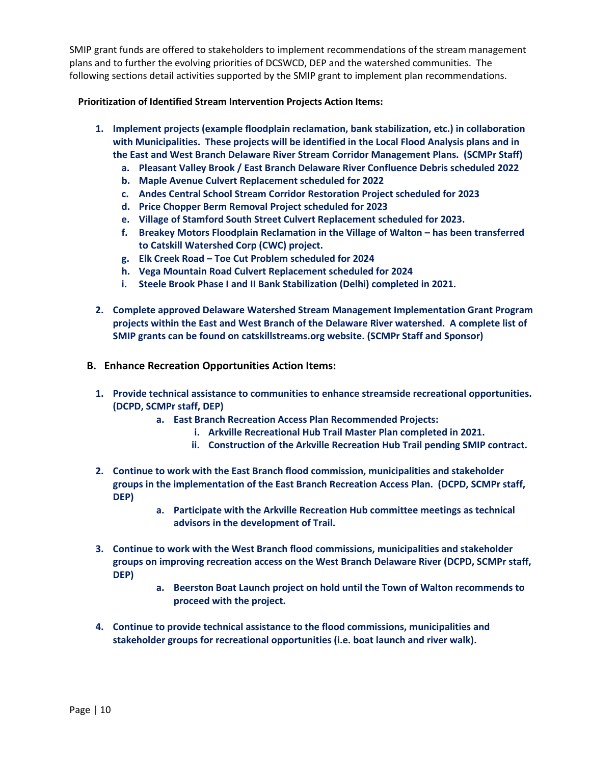SMIP grant funds are offered to stakeholders to implement recommendations of the stream management plans and to further the evolving priorities of DCSWCD, DEP and the watershed communities. The following sections detail activities supported by the SMIP grant to implement plan recommendations.

#### **Prioritization of Identified Stream Intervention Projects Action Items:**

- **1. Implement projects (example floodplain reclamation, bank stabilization, etc.) in collaboration with Municipalities. These projects will be identified in the Local Flood Analysis plans and in the East and West Branch Delaware River Stream Corridor Management Plans. (SCMPr Staff)**
	- **a. Pleasant Valley Brook / East Branch Delaware River Confluence Debris scheduled 2022**
	- **b. Maple Avenue Culvert Replacement scheduled for 2022**
	- **c. Andes Central School Stream Corridor Restoration Project scheduled for 2023**
	- **d. Price Chopper Berm Removal Project scheduled for 2023**
	- **e. Village of Stamford South Street Culvert Replacement scheduled for 2023.**
	- **f. Breakey Motors Floodplain Reclamation in the Village of Walton has been transferred to Catskill Watershed Corp (CWC) project.**
	- **g. Elk Creek Road Toe Cut Problem scheduled for 2024**
	- **h. Vega Mountain Road Culvert Replacement scheduled for 2024**
	- **i. Steele Brook Phase I and II Bank Stabilization (Delhi) completed in 2021.**
- **2. Complete approved Delaware Watershed Stream Management Implementation Grant Program projects within the East and West Branch of the Delaware River watershed. A complete list of SMIP grants can be found on catskillstreams.org website. (SCMPr Staff and Sponsor)**
- <span id="page-9-1"></span><span id="page-9-0"></span>**B. Enhance Recreation Opportunities Action Items:**
	- **1. Provide technical assistance to communities to enhance streamside recreational opportunities. (DCPD, SCMPr staff, DEP)**
		- **a. East Branch Recreation Access Plan Recommended Projects:**
			- **i. Arkville Recreational Hub Trail Master Plan completed in 2021.**
			- **ii. Construction of the Arkville Recreation Hub Trail pending SMIP contract.**
	- **2. Continue to work with the East Branch flood commission, municipalities and stakeholder groups in the implementation of the East Branch Recreation Access Plan. (DCPD, SCMPr staff, DEP)** 
		- **a. Participate with the Arkville Recreation Hub committee meetings as technical advisors in the development of Trail.**
	- **3. Continue to work with the West Branch flood commissions, municipalities and stakeholder groups on improving recreation access on the West Branch Delaware River (DCPD, SCMPr staff, DEP)** 
		- **a. Beerston Boat Launch project on hold until the Town of Walton recommends to proceed with the project.**
	- **4. Continue to provide technical assistance to the flood commissions, municipalities and stakeholder groups for recreational opportunities (i.e. boat launch and river walk).**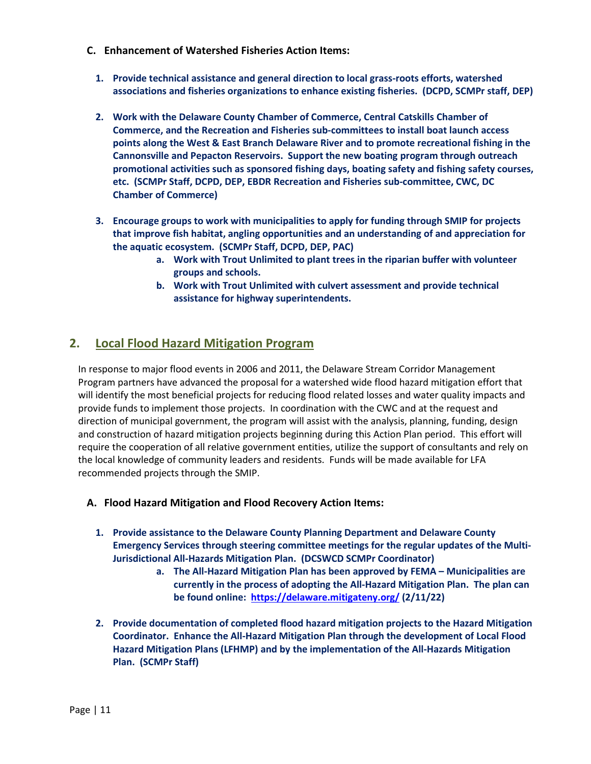- **C. Enhancement of Watershed Fisheries Action Items:**
	- **1. Provide technical assistance and general direction to local grass-roots efforts, watershed associations and fisheries organizations to enhance existing fisheries. (DCPD, SCMPr staff, DEP)**
	- **2. Work with the Delaware County Chamber of Commerce, Central Catskills Chamber of Commerce, and the Recreation and Fisheries sub-committees to install boat launch access points along the West & East Branch Delaware River and to promote recreational fishing in the Cannonsville and Pepacton Reservoirs. Support the new boating program through outreach promotional activities such as sponsored fishing days, boating safety and fishing safety courses, etc. (SCMPr Staff, DCPD, DEP, EBDR Recreation and Fisheries sub-committee, CWC, DC Chamber of Commerce)**
	- **3. Encourage groups to work with municipalities to apply for funding through SMIP for projects that improve fish habitat, angling opportunities and an understanding of and appreciation for the aquatic ecosystem. (SCMPr Staff, DCPD, DEP, PAC)**
		- **a. Work with Trout Unlimited to plant trees in the riparian buffer with volunteer groups and schools.**
		- **b. Work with Trout Unlimited with culvert assessment and provide technical assistance for highway superintendents.**

#### <span id="page-10-0"></span>**2. Local Flood Hazard Mitigation Program**

In response to major flood events in 2006 and 2011, the Delaware Stream Corridor Management Program partners have advanced the proposal for a watershed wide flood hazard mitigation effort that will identify the most beneficial projects for reducing flood related losses and water quality impacts and provide funds to implement those projects. In coordination with the CWC and at the request and direction of municipal government, the program will assist with the analysis, planning, funding, design and construction of hazard mitigation projects beginning during this Action Plan period. This effort will require the cooperation of all relative government entities, utilize the support of consultants and rely on the local knowledge of community leaders and residents. Funds will be made available for LFA recommended projects through the SMIP.

- <span id="page-10-1"></span>**A. Flood Hazard Mitigation and Flood Recovery Action Items:**
	- **1. Provide assistance to the Delaware County Planning Department and Delaware County Emergency Services through steering committee meetings for the regular updates of the Multi-Jurisdictional All-Hazards Mitigation Plan. (DCSWCD SCMPr Coordinator)**
		- **a. The All-Hazard Mitigation Plan has been approved by FEMA Municipalities are currently in the process of adopting the All-Hazard Mitigation Plan. The plan can be found online: <https://delaware.mitigateny.org/> (2/11/22)**
	- **2. Provide documentation of completed flood hazard mitigation projects to the Hazard Mitigation Coordinator. Enhance the All-Hazard Mitigation Plan through the development of Local Flood Hazard Mitigation Plans (LFHMP) and by the implementation of the All-Hazards Mitigation Plan. (SCMPr Staff)**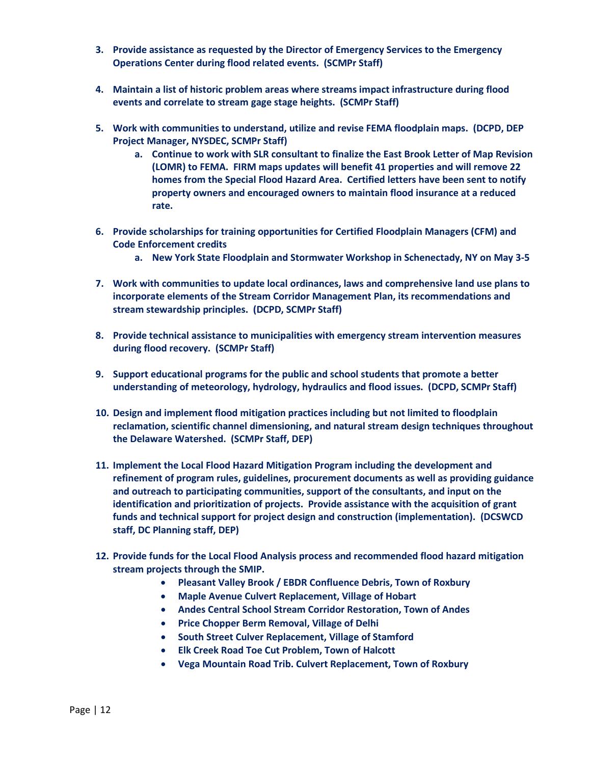- **3. Provide assistance as requested by the Director of Emergency Services to the Emergency Operations Center during flood related events. (SCMPr Staff)**
- **4. Maintain a list of historic problem areas where streams impact infrastructure during flood events and correlate to stream gage stage heights. (SCMPr Staff)**
- **5. Work with communities to understand, utilize and revise FEMA floodplain maps. (DCPD, DEP Project Manager, NYSDEC, SCMPr Staff)**
	- **a. Continue to work with SLR consultant to finalize the East Brook Letter of Map Revision (LOMR) to FEMA. FIRM maps updates will benefit 41 properties and will remove 22 homes from the Special Flood Hazard Area. Certified letters have been sent to notify property owners and encouraged owners to maintain flood insurance at a reduced rate.**
- **6. Provide scholarships for training opportunities for Certified Floodplain Managers (CFM) and Code Enforcement credits**
	- **a. New York State Floodplain and Stormwater Workshop in Schenectady, NY on May 3-5**
- **7. Work with communities to update local ordinances, laws and comprehensive land use plans to incorporate elements of the Stream Corridor Management Plan, its recommendations and stream stewardship principles. (DCPD, SCMPr Staff)**
- **8. Provide technical assistance to municipalities with emergency stream intervention measures during flood recovery. (SCMPr Staff)**
- **9. Support educational programs for the public and school students that promote a better understanding of meteorology, hydrology, hydraulics and flood issues. (DCPD, SCMPr Staff)**
- **10. Design and implement flood mitigation practices including but not limited to floodplain reclamation, scientific channel dimensioning, and natural stream design techniques throughout the Delaware Watershed. (SCMPr Staff, DEP)**
- **11. Implement the Local Flood Hazard Mitigation Program including the development and refinement of program rules, guidelines, procurement documents as well as providing guidance and outreach to participating communities, support of the consultants, and input on the identification and prioritization of projects. Provide assistance with the acquisition of grant funds and technical support for project design and construction (implementation). (DCSWCD staff, DC Planning staff, DEP)**
- **12. Provide funds for the Local Flood Analysis process and recommended flood hazard mitigation stream projects through the SMIP.**
	- **Pleasant Valley Brook / EBDR Confluence Debris, Town of Roxbury**
	- **Maple Avenue Culvert Replacement, Village of Hobart**
	- **Andes Central School Stream Corridor Restoration, Town of Andes**
	- **Price Chopper Berm Removal, Village of Delhi**
	- **South Street Culver Replacement, Village of Stamford**
	- **Elk Creek Road Toe Cut Problem, Town of Halcott**
	- **Vega Mountain Road Trib. Culvert Replacement, Town of Roxbury**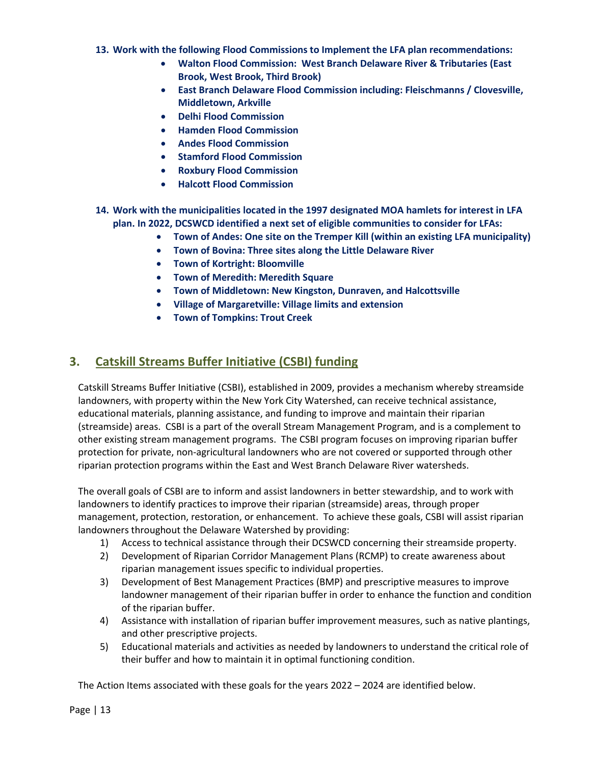- **13. Work with the following Flood Commissions to Implement the LFA plan recommendations:** 
	- **Walton Flood Commission: West Branch Delaware River & Tributaries (East Brook, West Brook, Third Brook)**
	- **East Branch Delaware Flood Commission including: Fleischmanns / Clovesville, Middletown, Arkville**
	- **Delhi Flood Commission**
	- **Hamden Flood Commission**
	- **Andes Flood Commission**
	- **Stamford Flood Commission**
	- **Roxbury Flood Commission**
	- **Halcott Flood Commission**
- **14. Work with the municipalities located in the 1997 designated MOA hamlets for interest in LFA plan. In 2022, DCSWCD identified a next set of eligible communities to consider for LFAs:** 
	- **Town of Andes: One site on the Tremper Kill (within an existing LFA municipality)**
	- **Town of Bovina: Three sites along the Little Delaware River**
	- **Town of Kortright: Bloomville**
	- **Town of Meredith: Meredith Square**
	- **Town of Middletown: New Kingston, Dunraven, and Halcottsville**
	- **Village of Margaretville: Village limits and extension**
	- **Town of Tompkins: Trout Creek**

## <span id="page-12-0"></span>**3. Catskill Streams Buffer Initiative (CSBI) funding**

Catskill Streams Buffer Initiative (CSBI), established in 2009, provides a mechanism whereby streamside landowners, with property within the New York City Watershed, can receive technical assistance, educational materials, planning assistance, and funding to improve and maintain their riparian (streamside) areas. CSBI is a part of the overall Stream Management Program, and is a complement to other existing stream management programs. The CSBI program focuses on improving riparian buffer protection for private, non-agricultural landowners who are not covered or supported through other riparian protection programs within the East and West Branch Delaware River watersheds.

The overall goals of CSBI are to inform and assist landowners in better stewardship, and to work with landowners to identify practices to improve their riparian (streamside) areas, through proper management, protection, restoration, or enhancement. To achieve these goals, CSBI will assist riparian landowners throughout the Delaware Watershed by providing:

- 1) Access to technical assistance through their DCSWCD concerning their streamside property.
- 2) Development of Riparian Corridor Management Plans (RCMP) to create awareness about riparian management issues specific to individual properties.
- 3) Development of Best Management Practices (BMP) and prescriptive measures to improve landowner management of their riparian buffer in order to enhance the function and condition of the riparian buffer.
- 4) Assistance with installation of riparian buffer improvement measures, such as native plantings, and other prescriptive projects.
- 5) Educational materials and activities as needed by landowners to understand the critical role of their buffer and how to maintain it in optimal functioning condition.

The Action Items associated with these goals for the years 2022 – 2024 are identified below.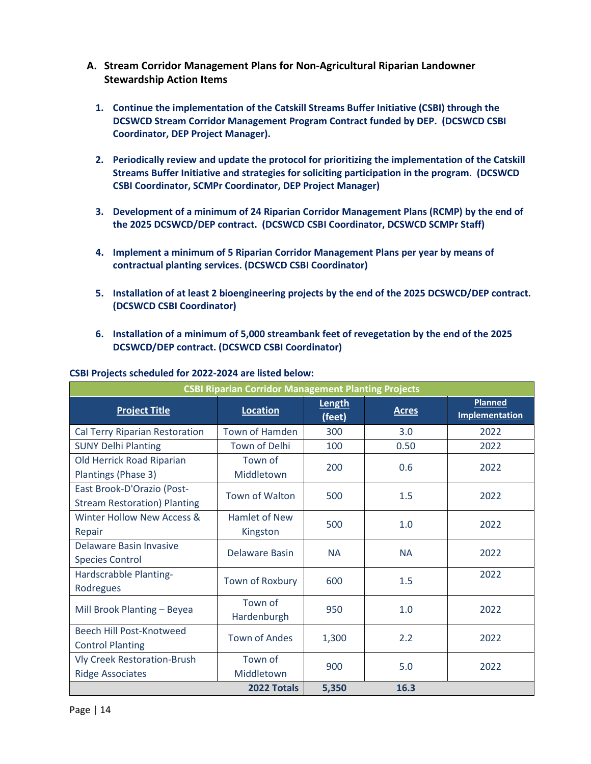- <span id="page-13-0"></span>**A. Stream Corridor Management Plans for Non-Agricultural Riparian Landowner Stewardship Action Items**
	- **1. Continue the implementation of the Catskill Streams Buffer Initiative (CSBI) through the DCSWCD Stream Corridor Management Program Contract funded by DEP. (DCSWCD CSBI Coordinator, DEP Project Manager).**
	- **2. Periodically review and update the protocol for prioritizing the implementation of the Catskill Streams Buffer Initiative and strategies for soliciting participation in the program. (DCSWCD CSBI Coordinator, SCMPr Coordinator, DEP Project Manager)**
	- **3. Development of a minimum of 24 Riparian Corridor Management Plans (RCMP) by the end of the 2025 DCSWCD/DEP contract. (DCSWCD CSBI Coordinator, DCSWCD SCMPr Staff)**
	- **4. Implement a minimum of 5 Riparian Corridor Management Plans per year by means of contractual planting services. (DCSWCD CSBI Coordinator)**
	- **5. Installation of at least 2 bioengineering projects by the end of the 2025 DCSWCD/DEP contract. (DCSWCD CSBI Coordinator)**
	- **6. Installation of a minimum of 5,000 streambank feet of revegetation by the end of the 2025 DCSWCD/DEP contract. (DCSWCD CSBI Coordinator)**

| <b>CSBI Riparian Corridor Management Planting Projects</b>        |                                  |                  |              |                                         |
|-------------------------------------------------------------------|----------------------------------|------------------|--------------|-----------------------------------------|
| <b>Project Title</b>                                              | <b>Location</b>                  | Length<br>(feet) | <b>Acres</b> | <b>Planned</b><br><b>Implementation</b> |
| Cal Terry Riparian Restoration                                    | Town of Hamden                   | 300              | 3.0          | 2022                                    |
| <b>SUNY Delhi Planting</b>                                        | <b>Town of Delhi</b>             | 100              | 0.50         | 2022                                    |
| Old Herrick Road Riparian<br>Plantings (Phase 3)                  | Town of<br>Middletown            | 200              | 0.6          | 2022                                    |
| East Brook-D'Orazio (Post-<br><b>Stream Restoration) Planting</b> | <b>Town of Walton</b>            | 500              | 1.5          | 2022                                    |
| Winter Hollow New Access &<br>Repair                              | <b>Hamlet of New</b><br>Kingston | 500              | 1.0          | 2022                                    |
| Delaware Basin Invasive<br><b>Species Control</b>                 | Delaware Basin                   | <b>NA</b>        | <b>NA</b>    | 2022                                    |
| Hardscrabble Planting-<br>Rodregues                               | Town of Roxbury                  | 600              | 1.5          | 2022                                    |
| Mill Brook Planting - Beyea                                       | Town of<br>Hardenburgh           | 950              | 1.0          | 2022                                    |
| Beech Hill Post-Knotweed<br><b>Control Planting</b>               | <b>Town of Andes</b>             | 1,300            | 2.2          | 2022                                    |
| <b>Vly Creek Restoration-Brush</b><br><b>Ridge Associates</b>     | Town of<br>Middletown            | 900              | 5.0          | 2022                                    |
|                                                                   | 2022 Totals                      | 5,350            | 16.3         |                                         |

#### **CSBI Projects scheduled for 2022-2024 are listed below:**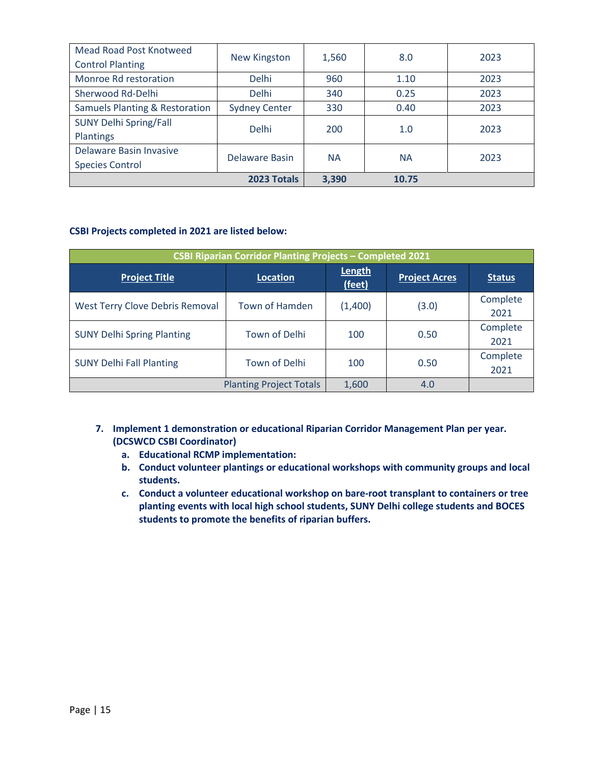| Mead Road Post Knotweed                   |                      |           | 8.0       | 2023 |
|-------------------------------------------|----------------------|-----------|-----------|------|
| <b>Control Planting</b>                   | <b>New Kingston</b>  | 1,560     |           |      |
| Monroe Rd restoration                     | <b>Delhi</b>         | 960       | 1.10      | 2023 |
| Sherwood Rd-Delhi                         | <b>Delhi</b>         | 340       | 0.25      | 2023 |
| <b>Samuels Planting &amp; Restoration</b> | <b>Sydney Center</b> | 330       | 0.40      | 2023 |
| <b>SUNY Delhi Spring/Fall</b>             | <b>Delhi</b>         | 200       | 1.0       | 2023 |
| Plantings                                 |                      |           |           |      |
| Delaware Basin Invasive                   | Delaware Basin       | <b>NA</b> | <b>NA</b> | 2023 |
| <b>Species Control</b>                    |                      |           |           |      |
|                                           | 2023 Totals          | 3,390     | 10.75     |      |

#### **CSBI Projects completed in 2021 are listed below:**

| <b>CSBI Riparian Corridor Planting Projects - Completed 2021</b> |                                |                  |                      |                  |
|------------------------------------------------------------------|--------------------------------|------------------|----------------------|------------------|
| <b>Project Title</b>                                             | Location                       | Length<br>(feet) | <b>Project Acres</b> | <b>Status</b>    |
| <b>West Terry Clove Debris Removal</b>                           | Town of Hamden                 | (1,400)          | (3.0)                | Complete<br>2021 |
| <b>SUNY Delhi Spring Planting</b>                                | Town of Delhi                  | 100              | 0.50                 | Complete<br>2021 |
| <b>SUNY Delhi Fall Planting</b><br>Town of Delhi                 |                                | 100              | 0.50                 | Complete<br>2021 |
|                                                                  | <b>Planting Project Totals</b> | 1,600            | 4.0                  |                  |

- **7. Implement 1 demonstration or educational Riparian Corridor Management Plan per year. (DCSWCD CSBI Coordinator)**
	- **a. Educational RCMP implementation:**
	- **b. Conduct volunteer plantings or educational workshops with community groups and local students.**
	- **c. Conduct a volunteer educational workshop on bare-root transplant to containers or tree planting events with local high school students, SUNY Delhi college students and BOCES students to promote the benefits of riparian buffers.**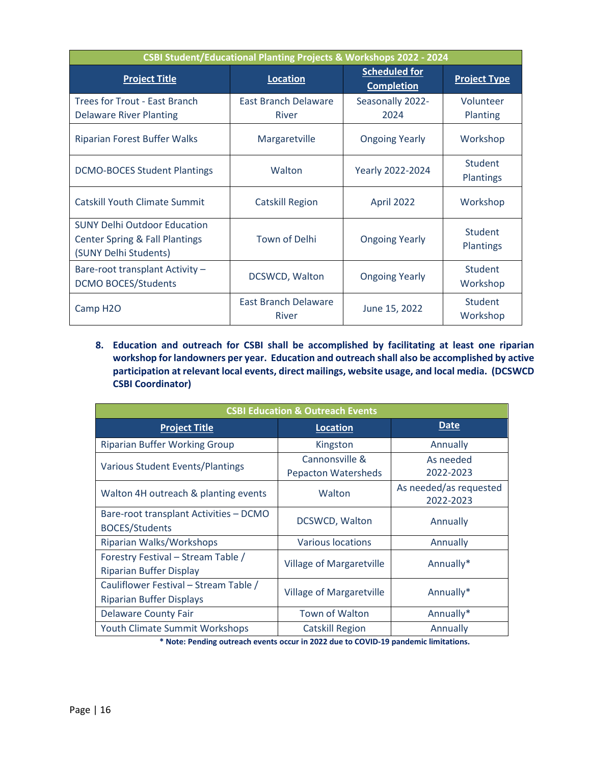| CSBI Student/Educational Planting Projects & Workshops 2022 - 2024                                        |                               |                                           |                             |
|-----------------------------------------------------------------------------------------------------------|-------------------------------|-------------------------------------------|-----------------------------|
| <b>Project Title</b>                                                                                      | <b>Location</b>               | <b>Scheduled for</b><br><b>Completion</b> | <b>Project Type</b>         |
| Trees for Trout - East Branch                                                                             | <b>East Branch Delaware</b>   | Seasonally 2022-                          | Volunteer                   |
| <b>Delaware River Planting</b>                                                                            | River                         | 2024                                      | Planting                    |
| <b>Riparian Forest Buffer Walks</b>                                                                       | Margaretville                 | <b>Ongoing Yearly</b>                     | Workshop                    |
| <b>DCMO-BOCES Student Plantings</b>                                                                       | Walton                        | Yearly 2022-2024                          | Student<br><b>Plantings</b> |
| <b>Catskill Youth Climate Summit</b>                                                                      | <b>Catskill Region</b>        | April 2022                                | Workshop                    |
| <b>SUNY Delhi Outdoor Education</b><br><b>Center Spring &amp; Fall Plantings</b><br>(SUNY Delhi Students) | <b>Town of Delhi</b>          | <b>Ongoing Yearly</b>                     | Student<br>Plantings        |
| Bare-root transplant Activity -<br><b>DCMO BOCES/Students</b>                                             | DCSWCD, Walton                | <b>Ongoing Yearly</b>                     | <b>Student</b><br>Workshop  |
| Camp H <sub>2</sub> O                                                                                     | East Branch Delaware<br>River | June 15, 2022                             | Student<br>Workshop         |

**8. Education and outreach for CSBI shall be accomplished by facilitating at least one riparian workshop for landowners per year. Education and outreach shall also be accomplished by active participation at relevant local events, direct mailings, website usage, and local media. (DCSWCD CSBI Coordinator)**

| <b>CSBI Education &amp; Outreach Events</b>                              |                                              |                                     |  |  |
|--------------------------------------------------------------------------|----------------------------------------------|-------------------------------------|--|--|
| <b>Project Title</b>                                                     | <b>Location</b>                              | Date                                |  |  |
| <b>Riparian Buffer Working Group</b>                                     | Kingston                                     | Annually                            |  |  |
| Various Student Events/Plantings                                         | Cannonsville &<br><b>Pepacton Watersheds</b> | As needed<br>2022-2023              |  |  |
| Walton 4H outreach & planting events                                     | Walton                                       | As needed/as requested<br>2022-2023 |  |  |
| Bare-root transplant Activities - DCMO<br><b>BOCES/Students</b>          | DCSWCD, Walton                               | Annually                            |  |  |
| Riparian Walks/Workshops                                                 | <b>Various locations</b>                     | Annually                            |  |  |
| Forestry Festival - Stream Table /<br><b>Riparian Buffer Display</b>     | Village of Margaretville                     | Annually*                           |  |  |
| Cauliflower Festival - Stream Table /<br><b>Riparian Buffer Displays</b> | <b>Village of Margaretville</b>              | Annually*                           |  |  |
| <b>Delaware County Fair</b>                                              | <b>Town of Walton</b>                        | Annually*                           |  |  |
| <b>Youth Climate Summit Workshops</b>                                    | <b>Catskill Region</b>                       | Annually                            |  |  |

**\* Note: Pending outreach events occur in 2022 due to COVID-19 pandemic limitations.**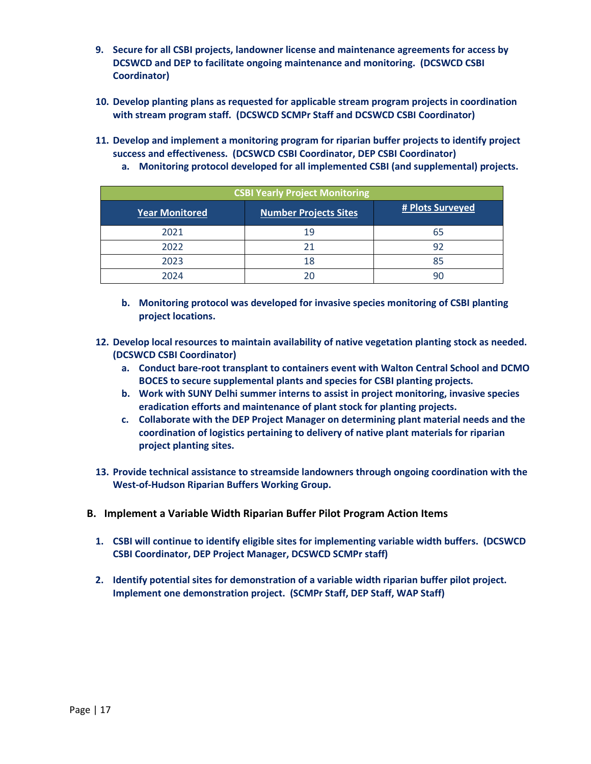- **9. Secure for all CSBI projects, landowner license and maintenance agreements for access by DCSWCD and DEP to facilitate ongoing maintenance and monitoring. (DCSWCD CSBI Coordinator)**
- **10. Develop planting plans as requested for applicable stream program projects in coordination with stream program staff. (DCSWCD SCMPr Staff and DCSWCD CSBI Coordinator)**
- **11. Develop and implement a monitoring program for riparian buffer projects to identify project success and effectiveness. (DCSWCD CSBI Coordinator, DEP CSBI Coordinator)**
- **CSBI Yearly Project Monitoring Year Monitored Number Projects Sites # Plots Surveyed** 2021 19 65 2022 21 92 2023 18 85 2024 20 90
- **a. Monitoring protocol developed for all implemented CSBI (and supplemental) projects.**

- **b. Monitoring protocol was developed for invasive species monitoring of CSBI planting project locations.**
- **12. Develop local resources to maintain availability of native vegetation planting stock as needed. (DCSWCD CSBI Coordinator)**
	- **a. Conduct bare-root transplant to containers event with Walton Central School and DCMO BOCES to secure supplemental plants and species for CSBI planting projects.**
	- **b. Work with SUNY Delhi summer interns to assist in project monitoring, invasive species eradication efforts and maintenance of plant stock for planting projects.**
	- **c. Collaborate with the DEP Project Manager on determining plant material needs and the coordination of logistics pertaining to delivery of native plant materials for riparian project planting sites.**
- **13. Provide technical assistance to streamside landowners through ongoing coordination with the West-of-Hudson Riparian Buffers Working Group.**
- <span id="page-16-0"></span>**B. Implement a Variable Width Riparian Buffer Pilot Program Action Items**
	- **1. CSBI will continue to identify eligible sites for implementing variable width buffers. (DCSWCD CSBI Coordinator, DEP Project Manager, DCSWCD SCMPr staff)**
	- **2. Identify potential sites for demonstration of a variable width riparian buffer pilot project. Implement one demonstration project. (SCMPr Staff, DEP Staff, WAP Staff)**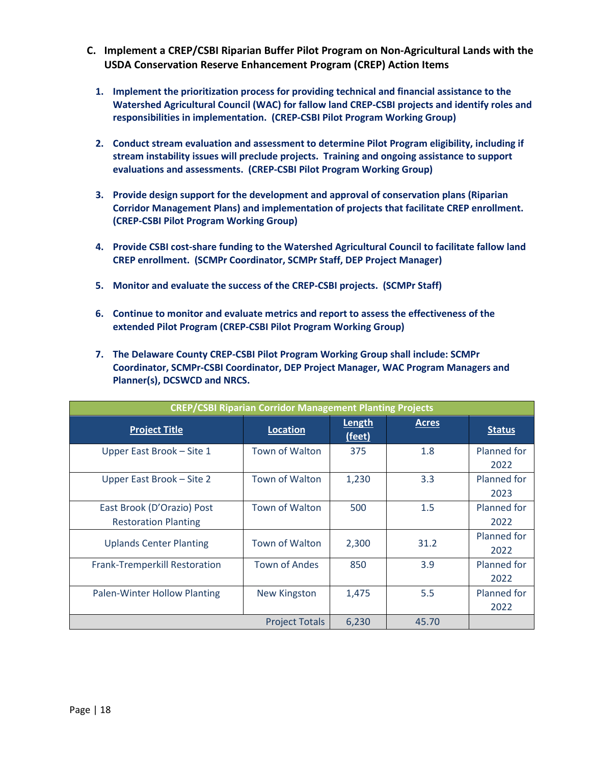- <span id="page-17-0"></span>**C. Implement a CREP/CSBI Riparian Buffer Pilot Program on Non-Agricultural Lands with the USDA Conservation Reserve Enhancement Program (CREP) Action Items** 
	- **1. Implement the prioritization process for providing technical and financial assistance to the Watershed Agricultural Council (WAC) for fallow land CREP-CSBI projects and identify roles and responsibilities in implementation. (CREP-CSBI Pilot Program Working Group)**
	- **2. Conduct stream evaluation and assessment to determine Pilot Program eligibility, including if stream instability issues will preclude projects. Training and ongoing assistance to support evaluations and assessments. (CREP-CSBI Pilot Program Working Group)**
	- **3. Provide design support for the development and approval of conservation plans (Riparian Corridor Management Plans) and implementation of projects that facilitate CREP enrollment. (CREP-CSBI Pilot Program Working Group)**
	- **4. Provide CSBI cost-share funding to the Watershed Agricultural Council to facilitate fallow land CREP enrollment. (SCMPr Coordinator, SCMPr Staff, DEP Project Manager)**
	- **5. Monitor and evaluate the success of the CREP-CSBI projects. (SCMPr Staff)**
	- **6. Continue to monitor and evaluate metrics and report to assess the effectiveness of the extended Pilot Program (CREP-CSBI Pilot Program Working Group)**
	- **7. The Delaware County CREP-CSBI Pilot Program Working Group shall include: SCMPr Coordinator, SCMPr-CSBI Coordinator, DEP Project Manager, WAC Program Managers and Planner(s), DCSWCD and NRCS.**

| <b>CREP/CSBI Riparian Corridor Management Planting Projects</b> |                       |                  |              |                     |
|-----------------------------------------------------------------|-----------------------|------------------|--------------|---------------------|
| <b>Project Title</b>                                            | <b>Location</b>       | Length<br>(feet) | <b>Acres</b> | <b>Status</b>       |
| Upper East Brook - Site 1                                       | <b>Town of Walton</b> | 375              | 1.8          | Planned for<br>2022 |
| Upper East Brook - Site 2                                       | <b>Town of Walton</b> | 1,230            | 3.3          | Planned for<br>2023 |
| East Brook (D'Orazio) Post<br><b>Restoration Planting</b>       | <b>Town of Walton</b> | 500              | 1.5          | Planned for<br>2022 |
| <b>Uplands Center Planting</b>                                  | <b>Town of Walton</b> | 2,300            | 31.2         | Planned for<br>2022 |
| <b>Frank-Tremperkill Restoration</b>                            | <b>Town of Andes</b>  | 850              | 3.9          | Planned for<br>2022 |
| Palen-Winter Hollow Planting                                    | <b>New Kingston</b>   | 1,475            | 5.5          | Planned for<br>2022 |
|                                                                 | <b>Project Totals</b> | 6,230            | 45.70        |                     |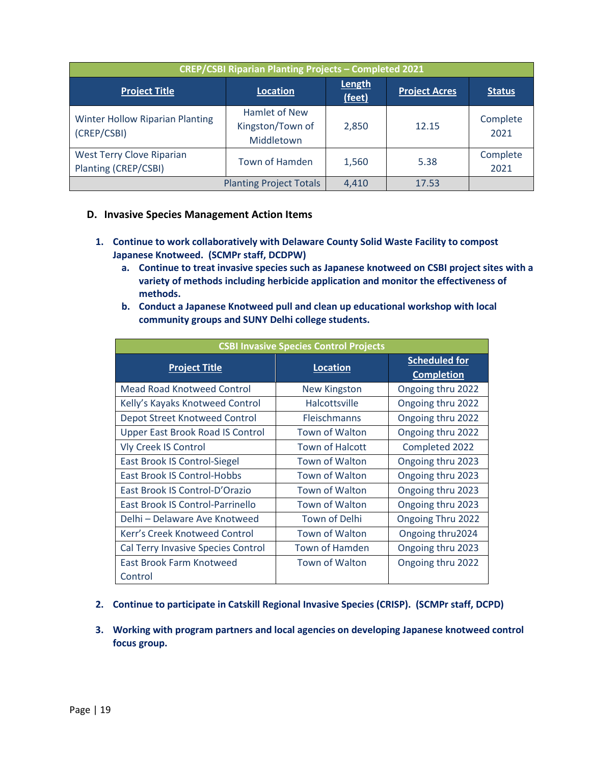| <b>CREP/CSBI Riparian Planting Projects - Completed 2021</b> |                                                 |                  |                      |                  |
|--------------------------------------------------------------|-------------------------------------------------|------------------|----------------------|------------------|
| <b>Project Title</b>                                         | Location                                        | Length<br>(feet) | <b>Project Acres</b> | <b>Status</b>    |
| <b>Winter Hollow Riparian Planting</b><br>(CREP/CSBI)        | Hamlet of New<br>Kingston/Town of<br>Middletown | 2,850            | 12.15                | Complete<br>2021 |
| West Terry Clove Riparian<br>Planting (CREP/CSBI)            | Town of Hamden                                  | 1,560            | 5.38                 | Complete<br>2021 |
| <b>Planting Project Totals</b>                               |                                                 | 4,410            | 17.53                |                  |

#### <span id="page-18-0"></span>**D. Invasive Species Management Action Items**

- **1. Continue to work collaboratively with Delaware County Solid Waste Facility to compost Japanese Knotweed. (SCMPr staff, DCDPW)**
	- **a. Continue to treat invasive species such as Japanese knotweed on CSBI project sites with a variety of methods including herbicide application and monitor the effectiveness of methods.**
	- **b. Conduct a Japanese Knotweed pull and clean up educational workshop with local community groups and SUNY Delhi college students.**

| <b>CSBI Invasive Species Control Projects</b> |                        |                                           |  |  |
|-----------------------------------------------|------------------------|-------------------------------------------|--|--|
| <b>Project Title</b>                          | <b>Location</b>        | <b>Scheduled for</b><br><b>Completion</b> |  |  |
| <b>Mead Road Knotweed Control</b>             | <b>New Kingston</b>    | Ongoing thru 2022                         |  |  |
| Kelly's Kayaks Knotweed Control               | <b>Halcottsville</b>   | Ongoing thru 2022                         |  |  |
| <b>Depot Street Knotweed Control</b>          | <b>Fleischmanns</b>    | Ongoing thru 2022                         |  |  |
| <b>Upper East Brook Road IS Control</b>       | Town of Walton         | Ongoing thru 2022                         |  |  |
| <b>Vly Creek IS Control</b>                   | <b>Town of Halcott</b> | Completed 2022                            |  |  |
| East Brook IS Control-Siegel                  | <b>Town of Walton</b>  | Ongoing thru 2023                         |  |  |
| <b>East Brook IS Control-Hobbs</b>            | <b>Town of Walton</b>  | Ongoing thru 2023                         |  |  |
| East Brook IS Control-D'Orazio                | <b>Town of Walton</b>  | Ongoing thru 2023                         |  |  |
| East Brook IS Control-Parrinello              | Town of Walton         | Ongoing thru 2023                         |  |  |
| Delhi – Delaware Ave Knotweed                 | Town of Delhi          | Ongoing Thru 2022                         |  |  |
| Kerr's Creek Knotweed Control                 | <b>Town of Walton</b>  | Ongoing thru2024                          |  |  |
| Cal Terry Invasive Species Control            | <b>Town of Hamden</b>  | Ongoing thru 2023                         |  |  |
| East Brook Farm Knotweed                      | <b>Town of Walton</b>  | Ongoing thru 2022                         |  |  |
| Control                                       |                        |                                           |  |  |

- **2. Continue to participate in Catskill Regional Invasive Species (CRISP). (SCMPr staff, DCPD)**
- **3. Working with program partners and local agencies on developing Japanese knotweed control focus group.**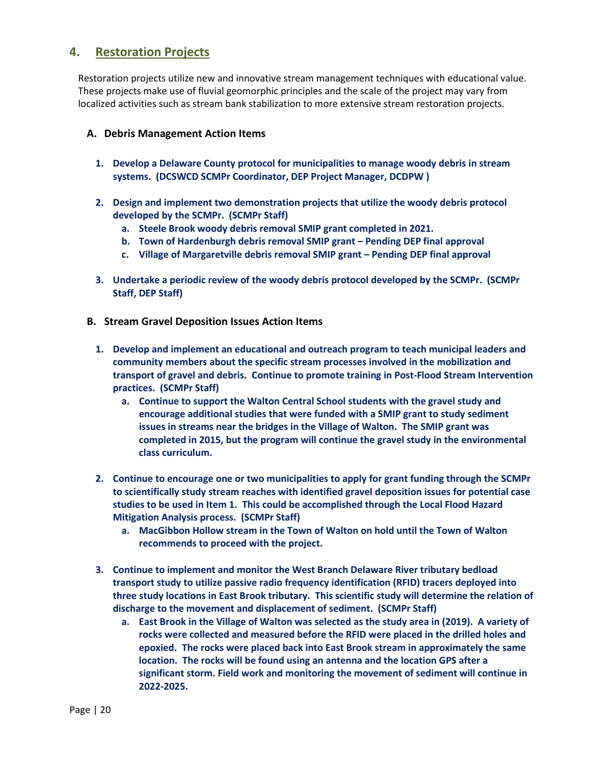### <span id="page-19-0"></span>**4. Restoration Projects**

Restoration projects utilize new and innovative stream management techniques with educational value. These projects make use of fluvial geomorphic principles and the scale of the project may vary from localized activities such as stream bank stabilization to more extensive stream restoration projects.

#### <span id="page-19-1"></span>**A. Debris Management Action Items**

- **1. Develop a Delaware County protocol for municipalities to manage woody debris in stream systems. (DCSWCD SCMPr Coordinator, DEP Project Manager, DCDPW )**
- **2. Design and implement two demonstration projects that utilize the woody debris protocol developed by the SCMPr. (SCMPr Staff)**
	- **a. Steele Brook woody debris removal SMIP grant completed in 2021.**
	- **b. Town of Hardenburgh debris removal SMIP grant Pending DEP final approval**
	- **c. Village of Margaretville debris removal SMIP grant Pending DEP final approval**
- **3. Undertake a periodic review of the woody debris protocol developed by the SCMPr. (SCMPr Staff, DEP Staff)**
- <span id="page-19-2"></span>**B. Stream Gravel Deposition Issues Action Items**
	- **1. Develop and implement an educational and outreach program to teach municipal leaders and community members about the specific stream processes involved in the mobilization and transport of gravel and debris. Continue to promote training in Post-Flood Stream Intervention practices. (SCMPr Staff)**
		- **a. Continue to support the Walton Central School students with the gravel study and encourage additional studies that were funded with a SMIP grant to study sediment issues in streams near the bridges in the Village of Walton. The SMIP grant was completed in 2015, but the program will continue the gravel study in the environmental class curriculum.**
	- **2. Continue to encourage one or two municipalities to apply for grant funding through the SCMPr to scientifically study stream reaches with identified gravel deposition issues for potential case studies to be used in Item 1. This could be accomplished through the Local Flood Hazard Mitigation Analysis process. (SCMPr Staff)**
		- **a. MacGibbon Hollow stream in the Town of Walton on hold until the Town of Walton recommends to proceed with the project.**
	- **3. Continue to implement and monitor the West Branch Delaware River tributary bedload transport study to utilize passive radio frequency identification (RFID) tracers deployed into three study locations in East Brook tributary. This scientific study will determine the relation of discharge to the movement and displacement of sediment. (SCMPr Staff)**
		- **a. East Brook in the Village of Walton was selected as the study area in (2019). A variety of rocks were collected and measured before the RFID were placed in the drilled holes and epoxied. The rocks were placed back into East Brook stream in approximately the same location. The rocks will be found using an antenna and the location GPS after a significant storm. Field work and monitoring the movement of sediment will continue in 2022-2025.**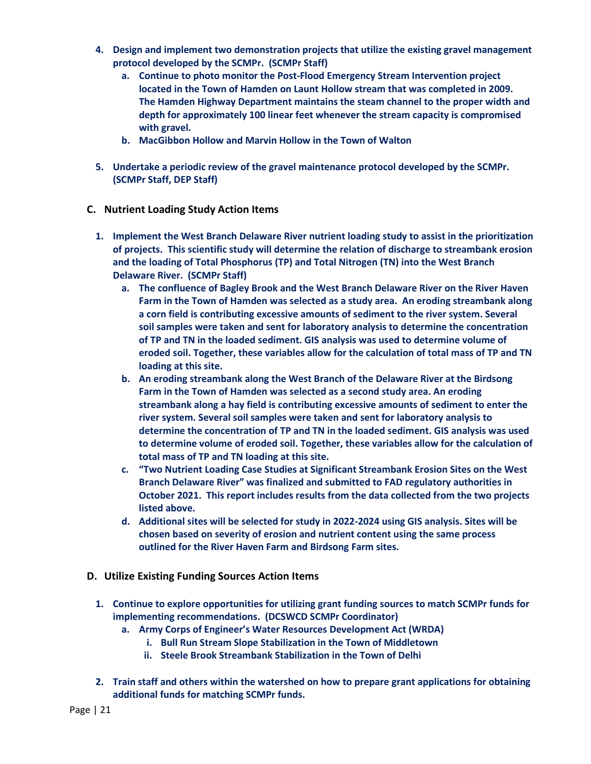- **4. Design and implement two demonstration projects that utilize the existing gravel management protocol developed by the SCMPr. (SCMPr Staff)**
	- **a. Continue to photo monitor the Post-Flood Emergency Stream Intervention project located in the Town of Hamden on Launt Hollow stream that was completed in 2009. The Hamden Highway Department maintains the steam channel to the proper width and depth for approximately 100 linear feet whenever the stream capacity is compromised with gravel.**
	- **b. MacGibbon Hollow and Marvin Hollow in the Town of Walton**
- **5. Undertake a periodic review of the gravel maintenance protocol developed by the SCMPr. (SCMPr Staff, DEP Staff)**
- <span id="page-20-0"></span>**C. Nutrient Loading Study Action Items**
	- **1. Implement the West Branch Delaware River nutrient loading study to assist in the prioritization of projects. This scientific study will determine the relation of discharge to streambank erosion and the loading of Total Phosphorus (TP) and Total Nitrogen (TN) into the West Branch Delaware River. (SCMPr Staff)**
		- **a. The confluence of Bagley Brook and the West Branch Delaware River on the River Haven Farm in the Town of Hamden was selected as a study area. An eroding streambank along a corn field is contributing excessive amounts of sediment to the river system. Several soil samples were taken and sent for laboratory analysis to determine the concentration of TP and TN in the loaded sediment. GIS analysis was used to determine volume of eroded soil. Together, these variables allow for the calculation of total mass of TP and TN loading at this site.**
		- **b. An eroding streambank along the West Branch of the Delaware River at the Birdsong Farm in the Town of Hamden was selected as a second study area. An eroding streambank along a hay field is contributing excessive amounts of sediment to enter the river system. Several soil samples were taken and sent for laboratory analysis to determine the concentration of TP and TN in the loaded sediment. GIS analysis was used to determine volume of eroded soil. Together, these variables allow for the calculation of total mass of TP and TN loading at this site.**
		- **c. "Two Nutrient Loading Case Studies at Significant Streambank Erosion Sites on the West Branch Delaware River" was finalized and submitted to FAD regulatory authorities in October 2021. This report includes results from the data collected from the two projects listed above.**
		- **d. Additional sites will be selected for study in 2022-2024 using GIS analysis. Sites will be chosen based on severity of erosion and nutrient content using the same process outlined for the River Haven Farm and Birdsong Farm sites.**
- <span id="page-20-1"></span>**D. Utilize Existing Funding Sources Action Items**
	- **1. Continue to explore opportunities for utilizing grant funding sources to match SCMPr funds for implementing recommendations. (DCSWCD SCMPr Coordinator)**
		- **a. Army Corps of Engineer's Water Resources Development Act (WRDA)**
			- **i. Bull Run Stream Slope Stabilization in the Town of Middletown**
			- **ii. Steele Brook Streambank Stabilization in the Town of Delhi**
	- **2. Train staff and others within the watershed on how to prepare grant applications for obtaining additional funds for matching SCMPr funds.**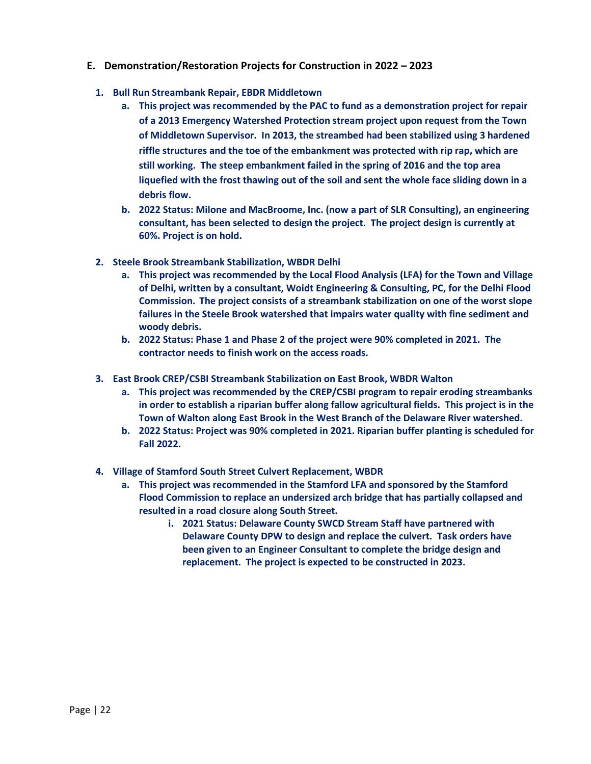#### <span id="page-21-0"></span>**E. Demonstration/Restoration Projects for Construction in 2022 – 2023**

- **1. Bull Run Streambank Repair, EBDR Middletown**
	- **a. This project was recommended by the PAC to fund as a demonstration project for repair of a 2013 Emergency Watershed Protection stream project upon request from the Town of Middletown Supervisor. In 2013, the streambed had been stabilized using 3 hardened riffle structures and the toe of the embankment was protected with rip rap, which are still working. The steep embankment failed in the spring of 2016 and the top area liquefied with the frost thawing out of the soil and sent the whole face sliding down in a debris flow.**
	- **b. 2022 Status: Milone and MacBroome, Inc. (now a part of SLR Consulting), an engineering consultant, has been selected to design the project. The project design is currently at 60%. Project is on hold.**
- **2. Steele Brook Streambank Stabilization, WBDR Delhi**
	- **a. This project was recommended by the Local Flood Analysis (LFA) for the Town and Village of Delhi, written by a consultant, Woidt Engineering & Consulting, PC, for the Delhi Flood Commission. The project consists of a streambank stabilization on one of the worst slope failures in the Steele Brook watershed that impairs water quality with fine sediment and woody debris.**
	- **b. 2022 Status: Phase 1 and Phase 2 of the project were 90% completed in 2021. The contractor needs to finish work on the access roads.**
- **3. East Brook CREP/CSBI Streambank Stabilization on East Brook, WBDR Walton**
	- **a. This project was recommended by the CREP/CSBI program to repair eroding streambanks in order to establish a riparian buffer along fallow agricultural fields. This project is in the Town of Walton along East Brook in the West Branch of the Delaware River watershed.**
	- **b. 2022 Status: Project was 90% completed in 2021. Riparian buffer planting is scheduled for Fall 2022.**
- **4. Village of Stamford South Street Culvert Replacement, WBDR**
	- **a. This project was recommended in the Stamford LFA and sponsored by the Stamford Flood Commission to replace an undersized arch bridge that has partially collapsed and resulted in a road closure along South Street.** 
		- **i. 2021 Status: Delaware County SWCD Stream Staff have partnered with Delaware County DPW to design and replace the culvert. Task orders have been given to an Engineer Consultant to complete the bridge design and replacement. The project is expected to be constructed in 2023.**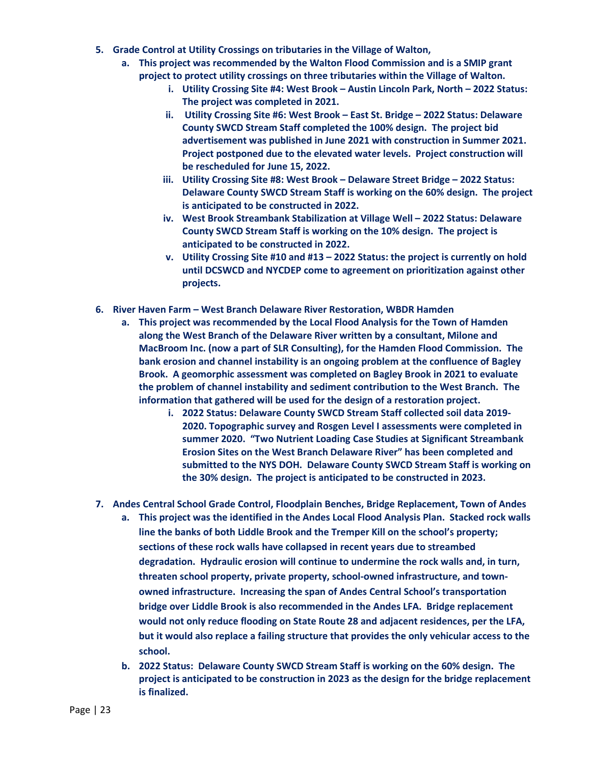- **5. Grade Control at Utility Crossings on tributaries in the Village of Walton,** 
	- **a. This project was recommended by the Walton Flood Commission and is a SMIP grant project to protect utility crossings on three tributaries within the Village of Walton.** 
		- **i. Utility Crossing Site #4: West Brook Austin Lincoln Park, North 2022 Status: The project was completed in 2021.**
		- **ii. Utility Crossing Site #6: West Brook East St. Bridge 2022 Status: Delaware County SWCD Stream Staff completed the 100% design. The project bid advertisement was published in June 2021 with construction in Summer 2021. Project postponed due to the elevated water levels. Project construction will be rescheduled for June 15, 2022.**
		- **iii. Utility Crossing Site #8: West Brook Delaware Street Bridge 2022 Status: Delaware County SWCD Stream Staff is working on the 60% design. The project is anticipated to be constructed in 2022.**
		- **iv. West Brook Streambank Stabilization at Village Well 2022 Status: Delaware County SWCD Stream Staff is working on the 10% design. The project is anticipated to be constructed in 2022.**
		- **v. Utility Crossing Site #10 and #13 2022 Status: the project is currently on hold until DCSWCD and NYCDEP come to agreement on prioritization against other projects.**
- **6. River Haven Farm West Branch Delaware River Restoration, WBDR Hamden**
	- **a. This project was recommended by the Local Flood Analysis for the Town of Hamden along the West Branch of the Delaware River written by a consultant, Milone and MacBroom Inc. (now a part of SLR Consulting), for the Hamden Flood Commission. The bank erosion and channel instability is an ongoing problem at the confluence of Bagley Brook. A geomorphic assessment was completed on Bagley Brook in 2021 to evaluate the problem of channel instability and sediment contribution to the West Branch. The information that gathered will be used for the design of a restoration project.**
		- **i. 2022 Status: Delaware County SWCD Stream Staff collected soil data 2019- 2020. Topographic survey and Rosgen Level I assessments were completed in summer 2020. "Two Nutrient Loading Case Studies at Significant Streambank Erosion Sites on the West Branch Delaware River" has been completed and submitted to the NYS DOH. Delaware County SWCD Stream Staff is working on the 30% design. The project is anticipated to be constructed in 2023.**
- **7. Andes Central School Grade Control, Floodplain Benches, Bridge Replacement, Town of Andes**
	- **a. This project was the identified in the Andes Local Flood Analysis Plan. Stacked rock walls line the banks of both Liddle Brook and the Tremper Kill on the school's property; sections of these rock walls have collapsed in recent years due to streambed degradation. Hydraulic erosion will continue to undermine the rock walls and, in turn, threaten school property, private property, school-owned infrastructure, and townowned infrastructure. Increasing the span of Andes Central School's transportation bridge over Liddle Brook is also recommended in the Andes LFA. Bridge replacement would not only reduce flooding on State Route 28 and adjacent residences, per the LFA, but it would also replace a failing structure that provides the only vehicular access to the school.**
	- **b. 2022 Status: Delaware County SWCD Stream Staff is working on the 60% design. The project is anticipated to be construction in 2023 as the design for the bridge replacement is finalized.**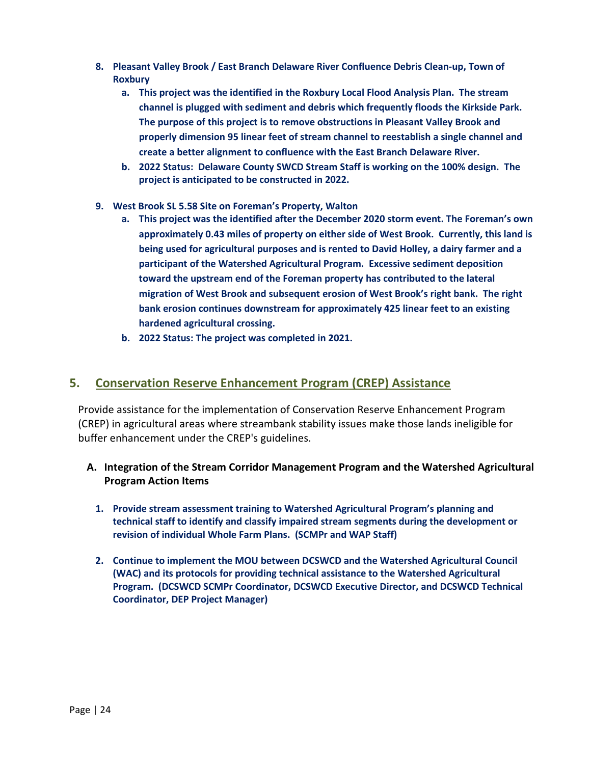- **8. Pleasant Valley Brook / East Branch Delaware River Confluence Debris Clean-up, Town of Roxbury**
	- **a. This project was the identified in the Roxbury Local Flood Analysis Plan. The stream channel is plugged with sediment and debris which frequently floods the Kirkside Park. The purpose of this project is to remove obstructions in Pleasant Valley Brook and properly dimension 95 linear feet of stream channel to reestablish a single channel and create a better alignment to confluence with the East Branch Delaware River.**
	- **b. 2022 Status: Delaware County SWCD Stream Staff is working on the 100% design. The project is anticipated to be constructed in 2022.**
- **9. West Brook SL 5.58 Site on Foreman's Property, Walton** 
	- **a. This project was the identified after the December 2020 storm event. The Foreman's own approximately 0.43 miles of property on either side of West Brook. Currently, this land is being used for agricultural purposes and is rented to David Holley, a dairy farmer and a participant of the Watershed Agricultural Program. Excessive sediment deposition toward the upstream end of the Foreman property has contributed to the lateral migration of West Brook and subsequent erosion of West Brook's right bank. The right bank erosion continues downstream for approximately 425 linear feet to an existing hardened agricultural crossing.**
	- **b. 2022 Status: The project was completed in 2021.**

#### <span id="page-23-0"></span>**5. Conservation Reserve Enhancement Program (CREP) Assistance**

Provide assistance for the implementation of Conservation Reserve Enhancement Program (CREP) in agricultural areas where streambank stability issues make those lands ineligible for buffer enhancement under the CREP's guidelines.

- <span id="page-23-1"></span>**A. Integration of the Stream Corridor Management Program and the Watershed Agricultural Program Action Items**
	- **1. Provide stream assessment training to Watershed Agricultural Program's planning and technical staff to identify and classify impaired stream segments during the development or revision of individual Whole Farm Plans. (SCMPr and WAP Staff)**
	- **2. Continue to implement the MOU between DCSWCD and the Watershed Agricultural Council (WAC) and its protocols for providing technical assistance to the Watershed Agricultural Program. (DCSWCD SCMPr Coordinator, DCSWCD Executive Director, and DCSWCD Technical Coordinator, DEP Project Manager)**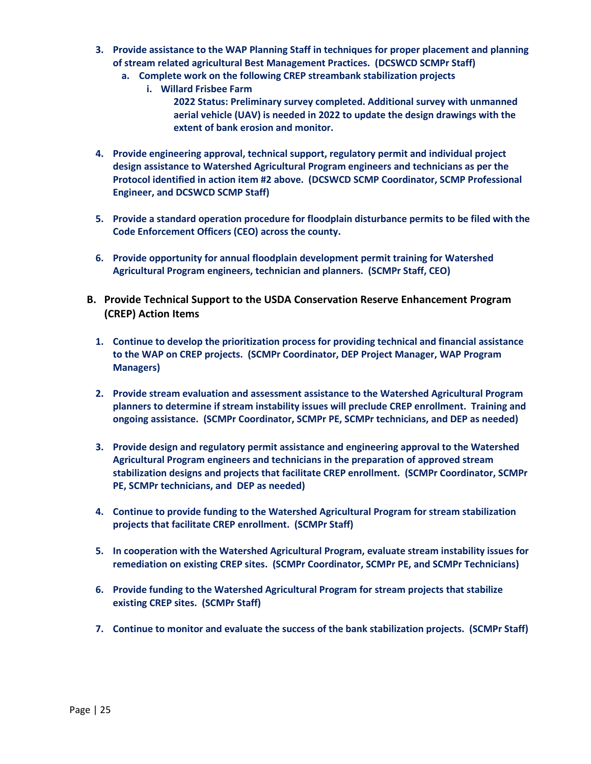- **3. Provide assistance to the WAP Planning Staff in techniques for proper placement and planning of stream related agricultural Best Management Practices. (DCSWCD SCMPr Staff)**
	- **a. Complete work on the following CREP streambank stabilization projects**
		- **i. Willard Frisbee Farm 2022 Status: Preliminary survey completed. Additional survey with unmanned aerial vehicle (UAV) is needed in 2022 to update the design drawings with the extent of bank erosion and monitor.**
- **4. Provide engineering approval, technical support, regulatory permit and individual project design assistance to Watershed Agricultural Program engineers and technicians as per the Protocol identified in action item #2 above. (DCSWCD SCMP Coordinator, SCMP Professional Engineer, and DCSWCD SCMP Staff)**
- **5. Provide a standard operation procedure for floodplain disturbance permits to be filed with the Code Enforcement Officers (CEO) across the county.**
- **6. Provide opportunity for annual floodplain development permit training for Watershed Agricultural Program engineers, technician and planners. (SCMPr Staff, CEO)**
- <span id="page-24-1"></span><span id="page-24-0"></span>**B. Provide Technical Support to the USDA Conservation Reserve Enhancement Program (CREP) Action Items**
	- **1. Continue to develop the prioritization process for providing technical and financial assistance to the WAP on CREP projects. (SCMPr Coordinator, DEP Project Manager, WAP Program Managers)**
	- **2. Provide stream evaluation and assessment assistance to the Watershed Agricultural Program planners to determine if stream instability issues will preclude CREP enrollment. Training and ongoing assistance. (SCMPr Coordinator, SCMPr PE, SCMPr technicians, and DEP as needed)**
	- **3. Provide design and regulatory permit assistance and engineering approval to the Watershed Agricultural Program engineers and technicians in the preparation of approved stream stabilization designs and projects that facilitate CREP enrollment. (SCMPr Coordinator, SCMPr PE, SCMPr technicians, and DEP as needed)**
	- **4. Continue to provide funding to the Watershed Agricultural Program for stream stabilization projects that facilitate CREP enrollment. (SCMPr Staff)**
	- **5. In cooperation with the Watershed Agricultural Program, evaluate stream instability issues for remediation on existing CREP sites. (SCMPr Coordinator, SCMPr PE, and SCMPr Technicians)**
	- **6. Provide funding to the Watershed Agricultural Program for stream projects that stabilize existing CREP sites. (SCMPr Staff)**
	- **7. Continue to monitor and evaluate the success of the bank stabilization projects. (SCMPr Staff)**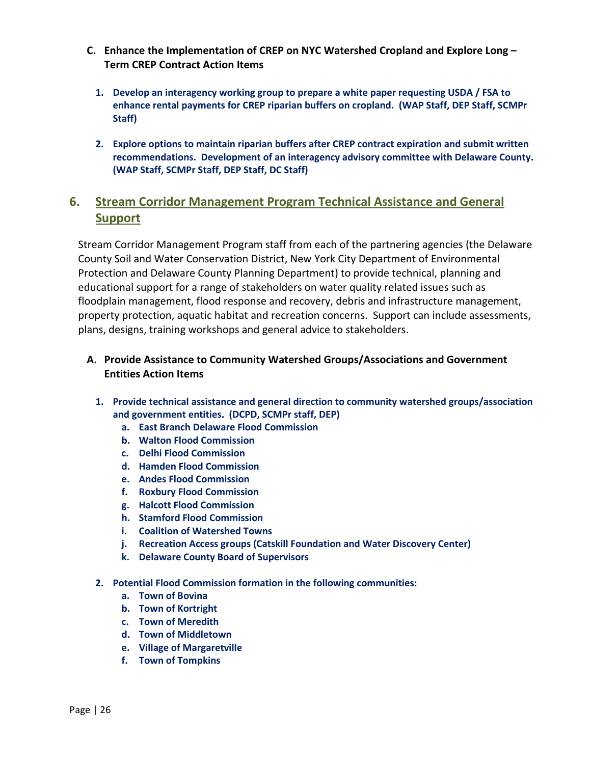- **C. Enhance the Implementation of CREP on NYC Watershed Cropland and Explore Long Term CREP Contract Action Items**
	- **1. Develop an interagency working group to prepare a white paper requesting USDA / FSA to enhance rental payments for CREP riparian buffers on cropland. (WAP Staff, DEP Staff, SCMPr Staff)**
	- **2. Explore options to maintain riparian buffers after CREP contract expiration and submit written recommendations. Development of an interagency advisory committee with Delaware County. (WAP Staff, SCMPr Staff, DEP Staff, DC Staff)**

## <span id="page-25-0"></span>**6. Stream Corridor Management Program Technical Assistance and General Support**

Stream Corridor Management Program staff from each of the partnering agencies (the Delaware County Soil and Water Conservation District, New York City Department of Environmental Protection and Delaware County Planning Department) to provide technical, planning and educational support for a range of stakeholders on water quality related issues such as floodplain management, flood response and recovery, debris and infrastructure management, property protection, aquatic habitat and recreation concerns. Support can include assessments, plans, designs, training workshops and general advice to stakeholders.

#### <span id="page-25-1"></span>**A. Provide Assistance to Community Watershed Groups/Associations and Government Entities Action Items**

- **1. Provide technical assistance and general direction to community watershed groups/association and government entities. (DCPD, SCMPr staff, DEP)**
	- **a. East Branch Delaware Flood Commission**
	- **b. Walton Flood Commission**
	- **c. Delhi Flood Commission**
	- **d. Hamden Flood Commission**
	- **e. Andes Flood Commission**
	- **f. Roxbury Flood Commission**
	- **g. Halcott Flood Commission**
	- **h. Stamford Flood Commission**
	- **i. Coalition of Watershed Towns**
	- **j. Recreation Access groups (Catskill Foundation and Water Discovery Center)**
	- **k. Delaware County Board of Supervisors**
- **2. Potential Flood Commission formation in the following communities:**
	- **a. Town of Bovina**
	- **b. Town of Kortright**
	- **c. Town of Meredith**
	- **d. Town of Middletown**
	- **e. Village of Margaretville**
	- **f. Town of Tompkins**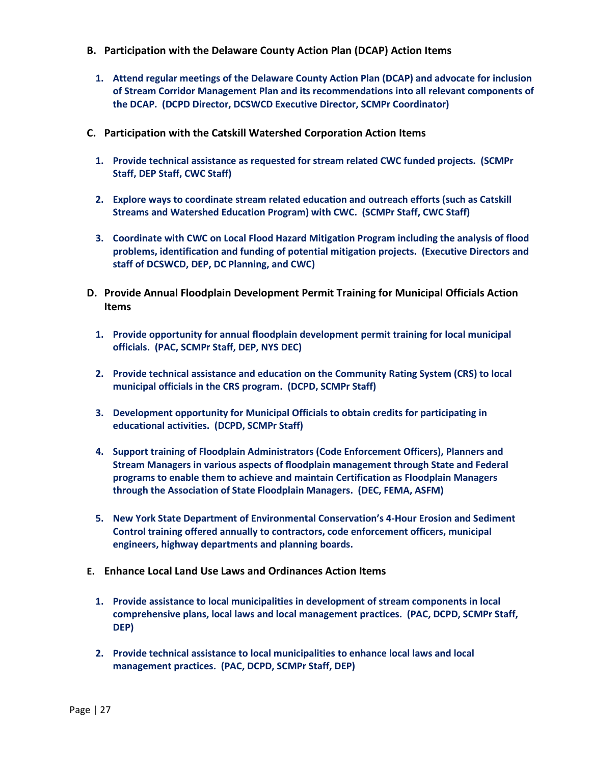- <span id="page-26-0"></span>**B. Participation with the Delaware County Action Plan (DCAP) Action Items**
	- **1. Attend regular meetings of the Delaware County Action Plan (DCAP) and advocate for inclusion of Stream Corridor Management Plan and its recommendations into all relevant components of the DCAP. (DCPD Director, DCSWCD Executive Director, SCMPr Coordinator)**
- <span id="page-26-1"></span>**C. Participation with the Catskill Watershed Corporation Action Items**
	- **1. Provide technical assistance as requested for stream related CWC funded projects. (SCMPr Staff, DEP Staff, CWC Staff)**
	- **2. Explore ways to coordinate stream related education and outreach efforts (such as Catskill Streams and Watershed Education Program) with CWC. (SCMPr Staff, CWC Staff)**
	- **3. Coordinate with CWC on Local Flood Hazard Mitigation Program including the analysis of flood problems, identification and funding of potential mitigation projects. (Executive Directors and staff of DCSWCD, DEP, DC Planning, and CWC)**
- <span id="page-26-2"></span>**D. Provide Annual Floodplain Development Permit Training for Municipal Officials Action Items**
	- **1. Provide opportunity for annual floodplain development permit training for local municipal officials. (PAC, SCMPr Staff, DEP, NYS DEC)**
	- **2. Provide technical assistance and education on the Community Rating System (CRS) to local municipal officials in the CRS program. (DCPD, SCMPr Staff)**
	- **3. Development opportunity for Municipal Officials to obtain credits for participating in educational activities. (DCPD, SCMPr Staff)**
	- **4. Support training of Floodplain Administrators (Code Enforcement Officers), Planners and Stream Managers in various aspects of floodplain management through State and Federal programs to enable them to achieve and maintain Certification as Floodplain Managers through the Association of State Floodplain Managers. (DEC, FEMA, ASFM)**
	- **5. New York State Department of Environmental Conservation's 4-Hour Erosion and Sediment Control training offered annually to contractors, code enforcement officers, municipal engineers, highway departments and planning boards.**
- **E. Enhance Local Land Use Laws and Ordinances Action Items**
	- **1. Provide assistance to local municipalities in development of stream components in local comprehensive plans, local laws and local management practices. (PAC, DCPD, SCMPr Staff, DEP)**
	- **2. Provide technical assistance to local municipalities to enhance local laws and local management practices. (PAC, DCPD, SCMPr Staff, DEP)**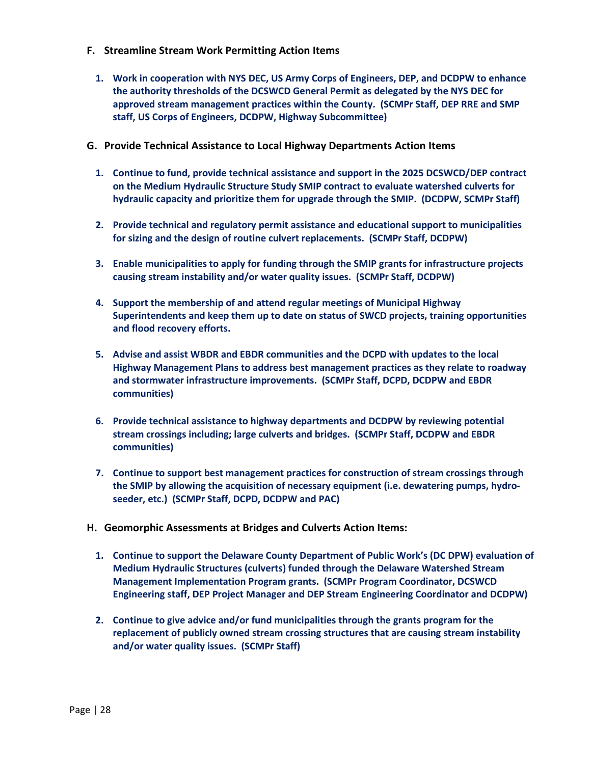- <span id="page-27-0"></span>**F. Streamline Stream Work Permitting Action Items**
	- **1. Work in cooperation with NYS DEC, US Army Corps of Engineers, DEP, and DCDPW to enhance the authority thresholds of the DCSWCD General Permit as delegated by the NYS DEC for approved stream management practices within the County. (SCMPr Staff, DEP RRE and SMP staff, US Corps of Engineers, DCDPW, Highway Subcommittee)**
- <span id="page-27-1"></span>**G. Provide Technical Assistance to Local Highway Departments Action Items**
	- **1. Continue to fund, provide technical assistance and support in the 2025 DCSWCD/DEP contract on the Medium Hydraulic Structure Study SMIP contract to evaluate watershed culverts for hydraulic capacity and prioritize them for upgrade through the SMIP. (DCDPW, SCMPr Staff)**
	- **2. Provide technical and regulatory permit assistance and educational support to municipalities for sizing and the design of routine culvert replacements. (SCMPr Staff, DCDPW)**
	- **3. Enable municipalities to apply for funding through the SMIP grants for infrastructure projects causing stream instability and/or water quality issues. (SCMPr Staff, DCDPW)**
	- **4. Support the membership of and attend regular meetings of Municipal Highway Superintendents and keep them up to date on status of SWCD projects, training opportunities and flood recovery efforts.**
	- **5. Advise and assist WBDR and EBDR communities and the DCPD with updates to the local Highway Management Plans to address best management practices as they relate to roadway and stormwater infrastructure improvements. (SCMPr Staff, DCPD, DCDPW and EBDR communities)**
	- **6. Provide technical assistance to highway departments and DCDPW by reviewing potential stream crossings including; large culverts and bridges. (SCMPr Staff, DCDPW and EBDR communities)**
	- **7. Continue to support best management practices for construction of stream crossings through the SMIP by allowing the acquisition of necessary equipment (i.e. dewatering pumps, hydroseeder, etc.) (SCMPr Staff, DCPD, DCDPW and PAC)**
- <span id="page-27-2"></span>**H. Geomorphic Assessments at Bridges and Culverts Action Items:**
	- **1. Continue to support the Delaware County Department of Public Work's (DC DPW) evaluation of Medium Hydraulic Structures (culverts) funded through the Delaware Watershed Stream Management Implementation Program grants. (SCMPr Program Coordinator, DCSWCD Engineering staff, DEP Project Manager and DEP Stream Engineering Coordinator and DCDPW)**
	- **2. Continue to give advice and/or fund municipalities through the grants program for the replacement of publicly owned stream crossing structures that are causing stream instability and/or water quality issues. (SCMPr Staff)**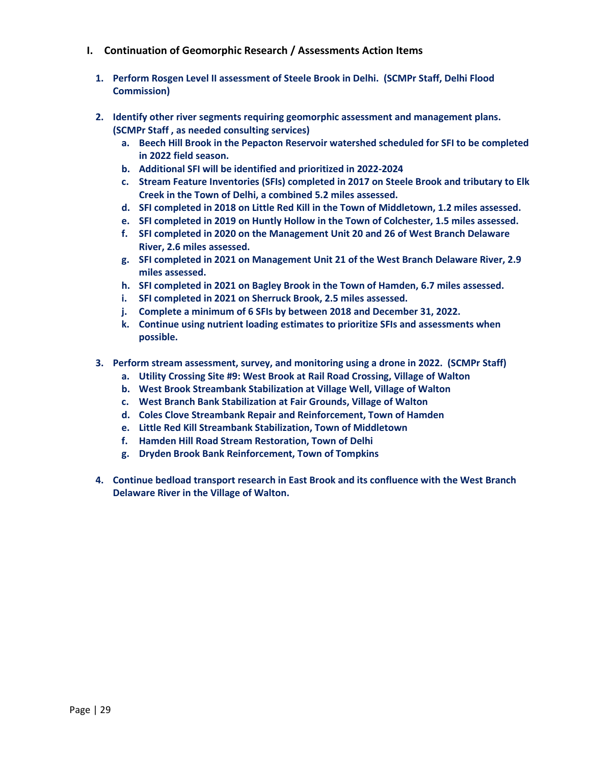- <span id="page-28-0"></span>**I. Continuation of Geomorphic Research / Assessments Action Items**
	- **1. Perform Rosgen Level II assessment of Steele Brook in Delhi. (SCMPr Staff, Delhi Flood Commission)**
	- **2. Identify other river segments requiring geomorphic assessment and management plans. (SCMPr Staff , as needed consulting services)** 
		- **a. Beech Hill Brook in the Pepacton Reservoir watershed scheduled for SFI to be completed in 2022 field season.**
		- **b. Additional SFI will be identified and prioritized in 2022-2024**
		- **c. Stream Feature Inventories (SFIs) completed in 2017 on Steele Brook and tributary to Elk Creek in the Town of Delhi, a combined 5.2 miles assessed.**
		- **d. SFI completed in 2018 on Little Red Kill in the Town of Middletown, 1.2 miles assessed.**
		- **e. SFI completed in 2019 on Huntly Hollow in the Town of Colchester, 1.5 miles assessed.**
		- **f. SFI completed in 2020 on the Management Unit 20 and 26 of West Branch Delaware River, 2.6 miles assessed.**
		- **g. SFI completed in 2021 on Management Unit 21 of the West Branch Delaware River, 2.9 miles assessed.**
		- **h. SFI completed in 2021 on Bagley Brook in the Town of Hamden, 6.7 miles assessed.**
		- **i. SFI completed in 2021 on Sherruck Brook, 2.5 miles assessed.**
		- **j. Complete a minimum of 6 SFIs by between 2018 and December 31, 2022.**
		- **k. Continue using nutrient loading estimates to prioritize SFIs and assessments when possible.**
	- **3. Perform stream assessment, survey, and monitoring using a drone in 2022. (SCMPr Staff)**
		- **a. Utility Crossing Site #9: West Brook at Rail Road Crossing, Village of Walton**
		- **b. West Brook Streambank Stabilization at Village Well, Village of Walton**
		- **c. West Branch Bank Stabilization at Fair Grounds, Village of Walton**
		- **d. Coles Clove Streambank Repair and Reinforcement, Town of Hamden**
		- **e. Little Red Kill Streambank Stabilization, Town of Middletown**
		- **f. Hamden Hill Road Stream Restoration, Town of Delhi**
		- **g. Dryden Brook Bank Reinforcement, Town of Tompkins**
	- **4. Continue bedload transport research in East Brook and its confluence with the West Branch Delaware River in the Village of Walton.**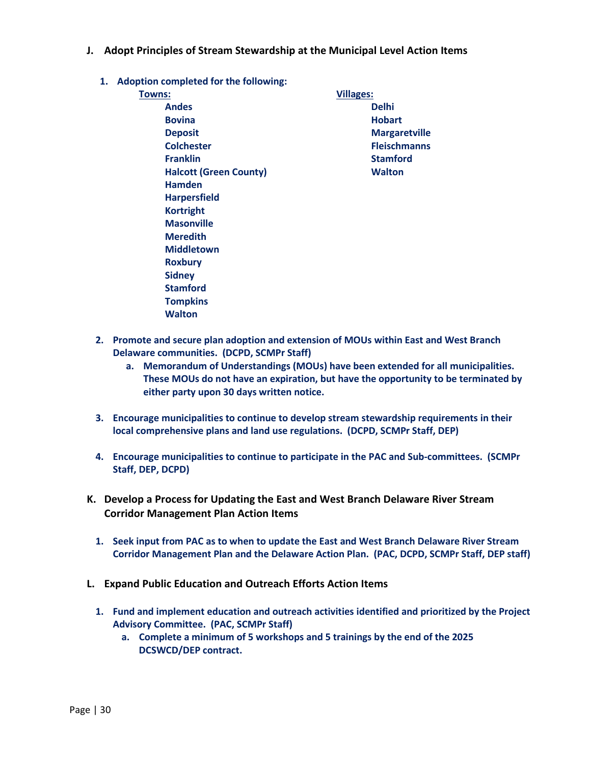- <span id="page-29-0"></span>**J. Adopt Principles of Stream Stewardship at the Municipal Level Action Items**
	- **1. Adoption completed for the following:**

| Towns:                        | <b>Villages:</b>     |
|-------------------------------|----------------------|
| <b>Andes</b>                  | <b>Delhi</b>         |
| <b>Bovina</b>                 | <b>Hobart</b>        |
| <b>Deposit</b>                | <b>Margaretville</b> |
| <b>Colchester</b>             | <b>Fleischmanns</b>  |
| <b>Franklin</b>               | <b>Stamford</b>      |
| <b>Halcott (Green County)</b> | <b>Walton</b>        |
| <b>Hamden</b>                 |                      |
| <b>Harpersfield</b>           |                      |
| <b>Kortright</b>              |                      |
| <b>Masonville</b>             |                      |
| <b>Meredith</b>               |                      |
| <b>Middletown</b>             |                      |
| <b>Roxbury</b>                |                      |
| <b>Sidney</b>                 |                      |
| <b>Stamford</b>               |                      |
| <b>Tompkins</b>               |                      |
| <b>Walton</b>                 |                      |

- **2. Promote and secure plan adoption and extension of MOUs within East and West Branch Delaware communities. (DCPD, SCMPr Staff)** 
	- **a. Memorandum of Understandings (MOUs) have been extended for all municipalities. These MOUs do not have an expiration, but have the opportunity to be terminated by either party upon 30 days written notice.**
- **3. Encourage municipalities to continue to develop stream stewardship requirements in their local comprehensive plans and land use regulations. (DCPD, SCMPr Staff, DEP)**
- **4. Encourage municipalities to continue to participate in the PAC and Sub-committees. (SCMPr Staff, DEP, DCPD)**
- <span id="page-29-1"></span>**K. Develop a Process for Updating the East and West Branch Delaware River Stream Corridor Management Plan Action Items**
	- **1. Seek input from PAC as to when to update the East and West Branch Delaware River Stream Corridor Management Plan and the Delaware Action Plan. (PAC, DCPD, SCMPr Staff, DEP staff)**
- <span id="page-29-2"></span>**L. Expand Public Education and Outreach Efforts Action Items**
	- **1. Fund and implement education and outreach activities identified and prioritized by the Project Advisory Committee. (PAC, SCMPr Staff)**
		- **a. Complete a minimum of 5 workshops and 5 trainings by the end of the 2025 DCSWCD/DEP contract.**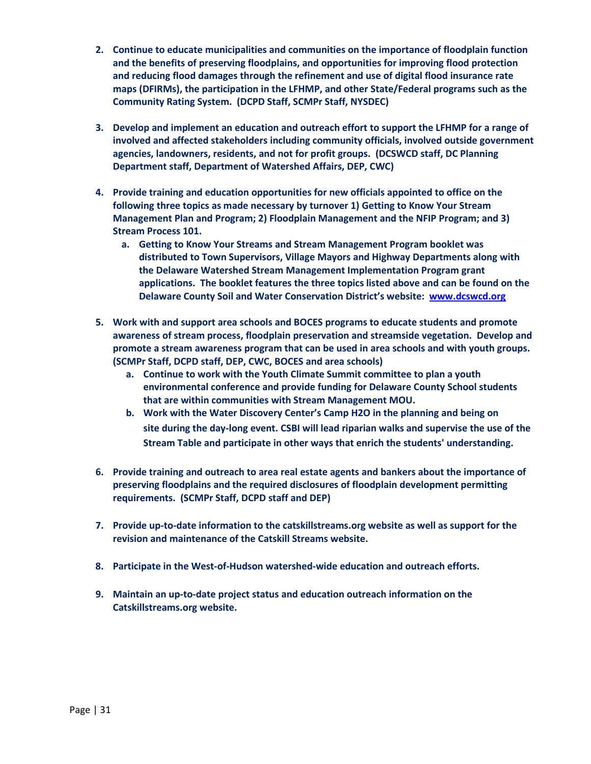- **2. Continue to educate municipalities and communities on the importance of floodplain function and the benefits of preserving floodplains, and opportunities for improving flood protection and reducing flood damages through the refinement and use of digital flood insurance rate maps (DFIRMs), the participation in the LFHMP, and other State/Federal programs such as the Community Rating System. (DCPD Staff, SCMPr Staff, NYSDEC)**
- **3. Develop and implement an education and outreach effort to support the LFHMP for a range of involved and affected stakeholders including community officials, involved outside government agencies, landowners, residents, and not for profit groups. (DCSWCD staff, DC Planning Department staff, Department of Watershed Affairs, DEP, CWC)**
- **4. Provide training and education opportunities for new officials appointed to office on the following three topics as made necessary by turnover 1) Getting to Know Your Stream Management Plan and Program; 2) Floodplain Management and the NFIP Program; and 3) Stream Process 101.**
	- **a. Getting to Know Your Streams and Stream Management Program booklet was distributed to Town Supervisors, Village Mayors and Highway Departments along with the Delaware Watershed Stream Management Implementation Program grant applications. The booklet features the three topics listed above and can be found on the Delaware County Soil and Water Conservation District's website: [www.dcswcd.org](http://www.dcswcd.org/)**
- **5. Work with and support area schools and BOCES programs to educate students and promote awareness of stream process, floodplain preservation and streamside vegetation. Develop and promote a stream awareness program that can be used in area schools and with youth groups. (SCMPr Staff, DCPD staff, DEP, CWC, BOCES and area schools)** 
	- **a. Continue to work with the Youth Climate Summit committee to plan a youth environmental conference and provide funding for Delaware County School students that are within communities with Stream Management MOU.**
	- **b. Work with the Water Discovery Center's Camp H2O in the planning and being on site during the day-long event. CSBI will lead riparian walks and supervise the use of the Stream Table and participate in other ways that enrich the students' understanding.**
- **6. Provide training and outreach to area real estate agents and bankers about the importance of preserving floodplains and the required disclosures of floodplain development permitting requirements. (SCMPr Staff, DCPD staff and DEP)**
- **7. Provide up-to-date information to the catskillstreams.org website as well as support for the revision and maintenance of the Catskill Streams website.**
- **8. Participate in the West-of-Hudson watershed-wide education and outreach efforts.**
- **9. Maintain an up-to-date project status and education outreach information on the Catskillstreams.org website.**